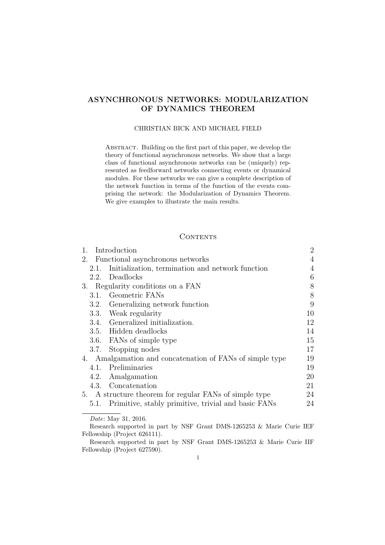# ASYNCHRONOUS NETWORKS: MODULARIZATION OF DYNAMICS THEOREM

### CHRISTIAN BICK AND MICHAEL FIELD

Abstract. Building on the first part of this paper, we develop the theory of functional asynchronous networks. We show that a large class of functional asynchronous networks can be (uniquely) represented as feedforward networks connecting events or dynamical modules. For these networks we can give a complete description of the network function in terms of the function of the events comprising the network: the Modularization of Dynamics Theorem. We give examples to illustrate the main results.

### **CONTENTS**

| Introduction<br>1.                                       |                                                     | $\overline{2}$ |
|----------------------------------------------------------|-----------------------------------------------------|----------------|
| 2.<br>Functional asynchronous networks                   |                                                     | 4              |
| 2.1.                                                     | Initialization, termination and network function    | 4              |
|                                                          | 2.2. Deadlocks                                      | 6              |
| 3. Regularity conditions on a FAN                        |                                                     | 8              |
|                                                          | 3.1. Geometric FANs                                 | 8              |
| 3.2.                                                     | Generalizing network function                       | 9              |
|                                                          | 3.3. Weak regularity                                | 10             |
|                                                          | 3.4. Generalized initialization.                    | 12             |
|                                                          | 3.5. Hidden deadlocks                               | 14             |
|                                                          | 3.6. FANs of simple type                            | 15             |
|                                                          | 3.7. Stopping nodes                                 | 17             |
| 4. Amalgamation and concatenation of FANs of simple type |                                                     | 19             |
|                                                          | 4.1. Preliminaries                                  | 19             |
|                                                          | 4.2. Amalgamation                                   | 20             |
| 4.3.                                                     | Concatenation                                       | 21             |
| 5. A structure theorem for regular FANs of simple type   |                                                     | 24             |
| 5.1.                                                     | Primitive, stably primitive, trivial and basic FANs | 24             |
|                                                          |                                                     |                |

Date: May 31, 2016.

Research supported in part by NSF Grant DMS-1265253 & Marie Curie IEF Fellowship (Project 626111).

Research supported in part by NSF Grant DMS-1265253 & Marie Curie IIF Fellowship (Project 627590).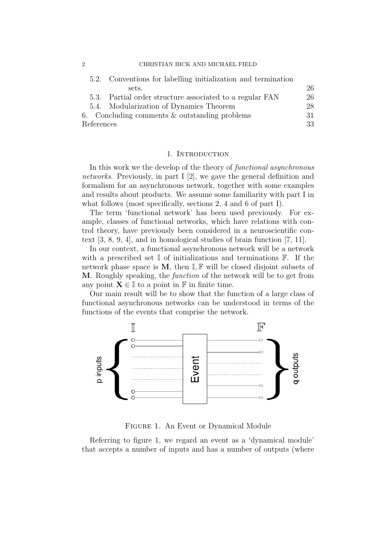2 CHRISTIAN BICK AND MICHAEL FIELD

| sets.<br>5.3. Partial order structure associated to a regular FAN<br>5.4. Modularization of Dynamics Theorem<br>6. Concluding comments $\&$ outstanding problems<br>-31<br>References<br>33 |  | 5.2. Conventions for labelling initialization and termination |    |
|---------------------------------------------------------------------------------------------------------------------------------------------------------------------------------------------|--|---------------------------------------------------------------|----|
|                                                                                                                                                                                             |  |                                                               | 26 |
|                                                                                                                                                                                             |  |                                                               | 26 |
|                                                                                                                                                                                             |  |                                                               | 28 |
|                                                                                                                                                                                             |  |                                                               |    |
|                                                                                                                                                                                             |  |                                                               |    |

#### 1. Introduction

In this work we the develop of the theory of *functional asynchronous* networks. Previously, in part I [2], we gave the general definition and formalism for an asynchronous network, together with some examples and results about products. We assume some familiarity with part I in what follows (most specifically, sections 2, 4 and 6 of part I).

The term 'functional network' has been used previously. For example, classes of functional networks, which have relations with control theory, have previously been considered in a neuroscientific context [3, 8, 9, 4], and in homological studies of brain function [7, 11].

In our context, a functional asynchronous network will be a network with a prescribed set  $\mathbb I$  of initializations and terminations  $\mathbb F$ . If the network phase space is  $M$ , then  $\mathbb{I}, \mathbb{F}$  will be closed disjoint subsets of M. Roughly speaking, the function of the network will be to get from any point  $X \in \mathbb{I}$  to a point in  $\mathbb{F}$  in finite time.

Our main result will be to show that the function of a large class of functional asynchronous networks can be understood in terms of the functions of the events that comprise the network.



Figure 1. An Event or Dynamical Module

Referring to figure 1, we regard an event as a 'dynamical module' that accepts a number of inputs and has a number of outputs (where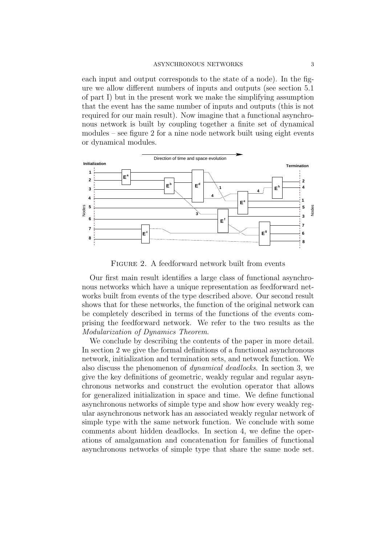each input and output corresponds to the state of a node). In the figure we allow different numbers of inputs and outputs (see section 5.1 of part I) but in the present work we make the simplifying assumption that the event has the same number of inputs and outputs (this is not required for our main result). Now imagine that a functional asynchronous network is built by coupling together a finite set of dynamical modules – see figure 2 for a nine node network built using eight events or dynamical modules.



Figure 2. A feedforward network built from events

Our first main result identifies a large class of functional asynchronous networks which have a unique representation as feedforward networks built from events of the type described above. Our second result shows that for these networks, the function of the original network can be completely described in terms of the functions of the events comprising the feedforward network. We refer to the two results as the Modularization of Dynamics Theorem.

We conclude by describing the contents of the paper in more detail. In section 2 we give the formal definitions of a functional asynchronous network, initialization and termination sets, and network function. We also discuss the phenomenon of dynamical deadlocks. In section 3, we give the key definitions of geometric, weakly regular and regular asynchronous networks and construct the evolution operator that allows for generalized initialization in space and time. We define functional asynchronous networks of simple type and show how every weakly regular asynchronous network has an associated weakly regular network of simple type with the same network function. We conclude with some comments about hidden deadlocks. In section 4, we define the operations of amalgamation and concatenation for families of functional asynchronous networks of simple type that share the same node set.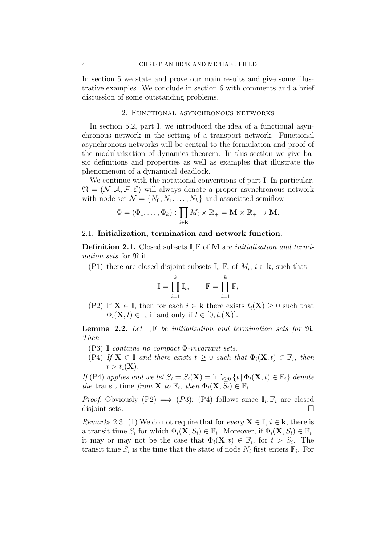In section 5 we state and prove our main results and give some illustrative examples. We conclude in section 6 with comments and a brief discussion of some outstanding problems.

### 2. Functional asynchronous networks

In section 5.2, part I, we introduced the idea of a functional asynchronous network in the setting of a transport network. Functional asynchronous networks will be central to the formulation and proof of the modularization of dynamics theorem. In this section we give basic definitions and properties as well as examples that illustrate the phenomenom of a dynamical deadlock.

We continue with the notational conventions of part I. In particular,  $\mathfrak{N} = (\mathcal{N}, \mathcal{A}, \mathcal{F}, \mathcal{E})$  will always denote a proper asynchronous network with node set  $\mathcal{N} = \{N_0, N_1, \ldots, N_k\}$  and associated semiflow

$$
\Phi = (\Phi_1, \dots, \Phi_k) : \prod_{i \in \mathbf{k}} M_i \times \mathbb{R}_+ = \mathbf{M} \times \mathbb{R}_+ \to \mathbf{M}.
$$

### 2.1. Initialization, termination and network function.

**Definition 2.1.** Closed subsets  $\mathbb{I}, \mathbb{F}$  of M are *initialization and termi*nation sets for  $\mathfrak{N}$  if

(P1) there are closed disjoint subsets  $\mathbb{I}_i$ ,  $\mathbb{F}_i$  of  $M_i$ ,  $i \in \mathbf{k}$ , such that

$$
\mathbb{I} = \prod_{i=1}^k \mathbb{I}_i, \qquad \mathbb{F} = \prod_{i=1}^k \mathbb{F}_i
$$

(P2) If  $X \in I$ , then for each  $i \in k$  there exists  $t_i(X) \geq 0$  such that  $\Phi_i(\mathbf{X}, t) \in \mathbb{I}_i$  if and only if  $t \in [0, t_i(\mathbf{X})]$ .

**Lemma 2.2.** Let  $\mathbb{I}, \mathbb{F}$  be initialization and termination sets for  $\mathfrak{N}$ . Then

- (P3) I contains no compact Φ-invariant sets.
- (P4) If  $X \in \mathbb{I}$  and there exists  $t > 0$  such that  $\Phi_i(X, t) \in \mathbb{F}_i$ , then  $t > t_i(\mathbf{X}).$

If (P4) applies and we let  $S_i = S_i(\mathbf{X}) = \inf_{t>0} \{t | \Phi_i(\mathbf{X}, t) \in \mathbb{F}_i \}$  denote the transit time from **X** to  $\mathbb{F}_i$ , then  $\Phi_i(\mathbf{X}, S_i) \in \mathbb{F}_i$ .

*Proof.* Obviously (P2)  $\implies$  (P3); (P4) follows since  $\mathbb{I}_i$ ,  $\mathbb{F}_i$  are closed disjoint sets.

*Remarks* 2.3. (1) We do not require that for every  $X \in \mathbb{I}, i \in \mathbf{k}$ , there is a transit time  $S_i$  for which  $\Phi_i(\mathbf{X}, S_i) \in \mathbb{F}_i$ . Moreover, if  $\Phi_i(\mathbf{X}, S_i) \in \mathbb{F}_i$ , it may or may not be the case that  $\Phi_i(\mathbf{X},t) \in \mathbb{F}_i$ , for  $t > S_i$ . The transit time  $S_i$  is the time that the state of node  $N_i$  first enters  $\mathbb{F}_i$ . For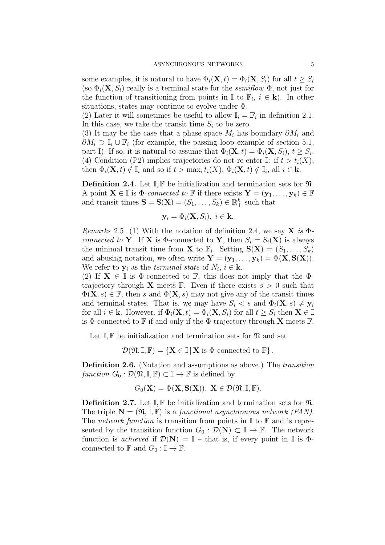some examples, it is natural to have  $\Phi_i(\mathbf{X}, t) = \Phi_i(\mathbf{X}, S_i)$  for all  $t \geq S_i$ (so  $\Phi_i(\mathbf{X}, S_i)$  really is a terminal state for the *semiflow*  $\Phi$ , not just for the function of transitioning from points in  $\mathbb{I}$  to  $\mathbb{F}_i$ ,  $i \in \mathbf{k}$ ). In other situations, states may continue to evolve under  $\Phi$ .

(2) Later it will sometimes be useful to allow  $\mathbb{I}_i = \mathbb{F}_i$  in definition 2.1. In this case, we take the transit time  $S_i$  to be zero.

(3) It may be the case that a phase space  $M_i$  has boundary  $\partial M_i$  and  $\partial M_i \supset \mathbb{I}_i \cup \mathbb{F}_i$  (for example, the passing loop example of section 5.1, part I). If so, it is natural to assume that  $\Phi_i(\mathbf{X},t) = \Phi_i(\mathbf{X},S_i)$ ,  $t \geq S_i$ . (4) Condition (P2) implies trajectories do not re-enter I: if  $t > t_i(X)$ , then  $\Phi_i(\mathbf{X}, t) \notin \mathbb{I}_i$  and so if  $t > \max_i t_i(X)$ ,  $\Phi_i(\mathbf{X}, t) \notin \mathbb{I}_i$ , all  $i \in \mathbf{k}$ .

**Definition 2.4.** Let  $\mathbb{I}, \mathbb{F}$  be initialization and termination sets for  $\mathfrak{N}$ . A point  $\mathbf{X} \in \mathbb{I}$  is  $\Phi$ -connected to  $\mathbb{F}$  if there exists  $\mathbf{Y} = (\mathbf{y}_1, \dots, \mathbf{y}_k) \in \mathbb{F}$ and transit times  $\mathbf{S} = \mathbf{S}(\mathbf{X}) = (S_1, \dots, S_k) \in \mathbb{R}_+^k$  such that

$$
\mathbf{y}_i = \Phi_i(\mathbf{X}, S_i), \ i \in \mathbf{k}.
$$

Remarks 2.5. (1) With the notation of definition 2.4, we say  $\bf{X}$  is  $\Phi$ connected to Y. If X is  $\Phi$ -connected to Y, then  $S_i = S_i(X)$  is always the minimal transit time from **X** to  $\mathbb{F}_i$ . Setting  $\mathbf{S}(\mathbf{X}) = (S_1, \ldots, S_k)$ and abusing notation, we often write  $\mathbf{Y} = (\mathbf{y}_1, \dots, \mathbf{y}_k) = \Phi(\mathbf{X}, \mathbf{S}(\mathbf{X}))$ . We refer to  $y_i$  as the *terminal state* of  $N_i$ ,  $i \in \mathbf{k}$ .

(2) If  $X \in \mathbb{I}$  is  $\Phi$ -connected to  $\mathbb{F}$ , this does not imply that the  $\Phi$ trajectory through **X** meets  $\mathbb{F}$ . Even if there exists  $s > 0$  such that  $\Phi(\mathbf{X}, s) \in \mathbb{F}$ , then s and  $\Phi(\mathbf{X}, s)$  may not give any of the transit times and terminal states. That is, we may have  $S_i < s$  and  $\Phi_i(\mathbf{X}, s) \neq \mathbf{y}_i$ for all  $i \in \mathbf{k}$ . However, if  $\Phi_i(\mathbf{X}, t) = \Phi_i(\mathbf{X}, S_i)$  for all  $t \geq S_i$  then  $\mathbf{X} \in \mathbb{I}$ is Φ-connected to  $\mathbb F$  if and only if the Φ-trajectory through **X** meets  $\mathbb F$ .

Let  $\mathbb{I}, \mathbb{F}$  be initialization and termination sets for  $\mathfrak{N}$  and set

 $\mathcal{D}(\mathfrak{N}, \mathbb{I}, \mathbb{F}) = \{ \mathbf{X} \in \mathbb{I} \mid \mathbf{X} \text{ is } \Phi\text{-connected to } \mathbb{F} \}.$ 

Definition 2.6. (Notation and assumptions as above.) The *transition* function  $G_0 : \mathcal{D}(\mathfrak{N}, \mathbb{I}, \mathbb{F}) \subset \mathbb{I} \to \mathbb{F}$  is defined by

$$
G_0(\mathbf{X}) = \Phi(\mathbf{X}, \mathbf{S}(\mathbf{X})), \mathbf{X} \in \mathcal{D}(\mathfrak{N}, \mathbb{I}, \mathbb{F}).
$$

**Definition 2.7.** Let  $\mathbb{I}, \mathbb{F}$  be initialization and termination sets for  $\mathfrak{N}$ . The triple  $\mathbf{N} = (\mathfrak{N}, \mathbb{I}, \mathbb{F})$  is a functional asynchronous network (FAN). The network function is transition from points in  $\mathbb I$  to  $\mathbb F$  and is represented by the transition function  $G_0 : \mathcal{D}(\mathbf{N}) \subset \mathbb{I} \to \mathbb{F}$ . The network function is *achieved* if  $\mathcal{D}(\mathbf{N}) = \mathbb{I}$  – that is, if every point in  $\mathbb{I}$  is  $\Phi$ connected to  $\mathbb F$  and  $G_0 : \mathbb{I} \to \mathbb{F}$ .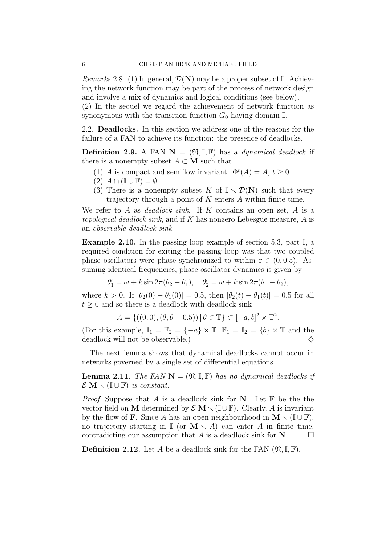*Remarks* 2.8. (1) In general,  $\mathcal{D}(\mathbf{N})$  may be a proper subset of I. Achieving the network function may be part of the process of network design and involve a mix of dynamics and logical conditions (see below).

(2) In the sequel we regard the achievement of network function as synonymous with the transition function  $G_0$  having domain  $\mathbb{I}$ .

2.2. Deadlocks. In this section we address one of the reasons for the failure of a FAN to achieve its function: the presence of deadlocks.

**Definition 2.9.** A FAN  $N = (\mathfrak{N}, \mathbb{I}, \mathbb{F})$  has a *dynamical deadlock* if there is a nonempty subset  $A \subset M$  such that

- (1) A is compact and semiflow invariant:  $\Phi^t(A) = A, t \geq 0$ .
- $(2)$   $A \cap (\mathbb{I} \cup \mathbb{F}) = \emptyset$ .
- (3) There is a nonempty subset K of  $\mathbb{I} \setminus \mathcal{D}(N)$  such that every trajectory through a point of  $K$  enters  $A$  within finite time.

We refer to A as *deadlock sink*. If K contains an open set, A is a topological deadlock sink, and if K has nonzero Lebesgue measure, A is an observable deadlock sink.

Example 2.10. In the passing loop example of section 5.3, part I, a required condition for exiting the passing loop was that two coupled phase oscillators were phase synchronized to within  $\varepsilon \in (0, 0.5)$ . Assuming identical frequencies, phase oscillator dynamics is given by

$$
\theta_1' = \omega + k \sin 2\pi (\theta_2 - \theta_1), \quad \theta_2' = \omega + k \sin 2\pi (\theta_1 - \theta_2),
$$

where  $k > 0$ . If  $|\theta_2(0) - \theta_1(0)| = 0.5$ , then  $|\theta_2(t) - \theta_1(t)| = 0.5$  for all  $t \geq 0$  and so there is a deadlock with deadlock sink

$$
A = \{((0,0), (\theta, \theta + 0.5)) | \theta \in \mathbb{T}\} \subset [-a, b]^2 \times \mathbb{T}^2.
$$

(For this example,  $\mathbb{I}_1 = \mathbb{F}_2 = \{-a\} \times \mathbb{T}$ ,  $\mathbb{F}_1 = \mathbb{I}_2 = \{b\} \times \mathbb{T}$  and the deadlock will not be observable.)

The next lemma shows that dynamical deadlocks cannot occur in networks governed by a single set of differential equations.

**Lemma 2.11.** The FAN  $N = (\mathfrak{N}, \mathbb{I}, \mathbb{F})$  has no dynamical deadlocks if  $\mathcal{E}|\mathbf{M} \setminus (\mathbb{I} \cup \mathbb{F})$  is constant.

*Proof.* Suppose that A is a deadlock sink for N. Let F be the the vector field on M determined by  $\mathcal{E}|\mathbf{M}\setminus (\mathbb{I}\cup \mathbb{F})$ . Clearly, A is invariant by the flow of **F**. Since A has an open neighbourhood in  $M \setminus (\mathbb{I} \cup \mathbb{F})$ , no trajectory starting in  $\mathbb{I}$  (or  $\mathbf{M} \setminus A$ ) can enter A in finite time, contradicting our assumption that A is a deadlock sink for  $N$ .

**Definition 2.12.** Let A be a deadlock sink for the FAN  $(\mathfrak{N}, \mathbb{I}, \mathbb{F})$ .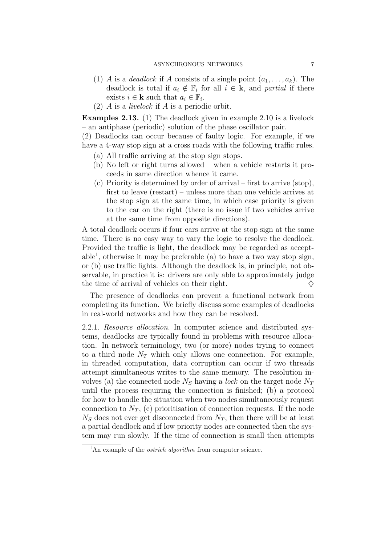- (1) A is a *deadlock* if A consists of a single point  $(a_1, \ldots, a_k)$ . The deadlock is total if  $a_i \notin \mathbb{F}_i$  for all  $i \in \mathbf{k}$ , and partial if there exists  $i \in \mathbf{k}$  such that  $a_i \in \mathbb{F}_i$ .
- (2) A is a livelock if A is a periodic orbit.

Examples 2.13. (1) The deadlock given in example 2.10 is a livelock – an antiphase (periodic) solution of the phase oscillator pair.

(2) Deadlocks can occur because of faulty logic. For example, if we have a 4-way stop sign at a cross roads with the following traffic rules.

- (a) All traffic arriving at the stop sign stops.
- (b) No left or right turns allowed when a vehicle restarts it proceeds in same direction whence it came.
- (c) Priority is determined by order of arrival first to arrive (stop), first to leave (restart) – unless more than one vehicle arrives at the stop sign at the same time, in which case priority is given to the car on the right (there is no issue if two vehicles arrive at the same time from opposite directions).

A total deadlock occurs if four cars arrive at the stop sign at the same time. There is no easy way to vary the logic to resolve the deadlock. Provided the traffic is light, the deadlock may be regarded as acceptable<sup>1</sup>, otherwise it may be preferable (a) to have a two way stop sign, or (b) use traffic lights. Although the deadlock is, in principle, not observable, in practice it is: drivers are only able to approximately judge the time of arrival of vehicles on their right.  $\diamondsuit$ 

The presence of deadlocks can prevent a functional network from completing its function. We briefly discuss some examples of deadlocks in real-world networks and how they can be resolved.

2.2.1. Resource allocation. In computer science and distributed systems, deadlocks are typically found in problems with resource allocation. In network terminology, two (or more) nodes trying to connect to a third node  $N_T$  which only allows one connection. For example, in threaded computation, data corruption can occur if two threads attempt simultaneous writes to the same memory. The resolution involves (a) the connected node  $N<sub>S</sub>$  having a lock on the target node  $N<sub>T</sub>$ until the process requiring the connection is finished; (b) a protocol for how to handle the situation when two nodes simultaneously request connection to  $N_T$ , (c) prioritisation of connection requests. If the node  $N<sub>S</sub>$  does not ever get disconnected from  $N<sub>T</sub>$ , then there will be at least a partial deadlock and if low priority nodes are connected then the system may run slowly. If the time of connection is small then attempts

<sup>&</sup>lt;sup>1</sup>An example of the *ostrich algorithm* from computer science.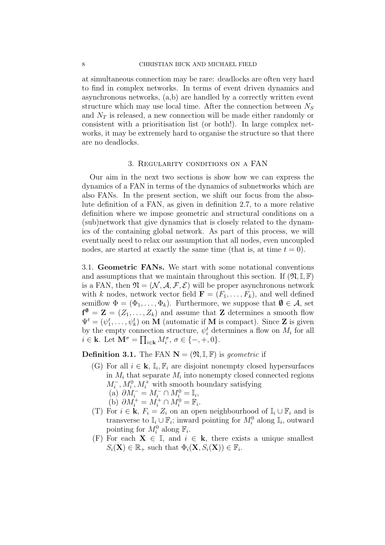at simultaneous connection may be rare: deadlocks are often very hard to find in complex networks. In terms of event driven dynamics and asynchronous networks, (a,b) are handled by a correctly written event structure which may use local time. After the connection between  $N<sub>S</sub>$ and  $N_T$  is released, a new connection will be made either randomly or consistent with a prioritisation list (or both!). In large complex networks, it may be extremely hard to organise the structure so that there are no deadlocks.

#### 3. Regularity conditions on a FAN

Our aim in the next two sections is show how we can express the dynamics of a FAN in terms of the dynamics of subnetworks which are also FANs. In the present section, we shift our focus from the absolute definition of a FAN, as given in definition 2.7, to a more relative definition where we impose geometric and structural conditions on a (sub)network that give dynamics that is closely related to the dynamics of the containing global network. As part of this process, we will eventually need to relax our assumption that all nodes, even uncoupled nodes, are started at exactly the same time (that is, at time  $t = 0$ ).

3.1. Geometric FANs. We start with some notational conventions and assumptions that we maintain throughout this section. If  $(\mathfrak{N}, \mathbb{I}, \mathbb{F})$ is a FAN, then  $\mathfrak{N} = (\mathcal{N}, \mathcal{A}, \mathcal{F}, \mathcal{E})$  will be proper asynchronous network with k nodes, network vector field  $\mathbf{F} = (F_1, \ldots, F_k)$ , and well defined semiflow  $\Phi = (\Phi_1, \ldots, \Phi_k)$ . Furthermore, we suppose that  $\emptyset \in \mathcal{A}$ , set  $f^{\emptyset} = \mathbf{Z} = (Z_1, \ldots, Z_k)$  and assume that  $\mathbf{Z}$  determines a smooth flow  $\Psi^t = (\psi_1^t, \dots, \psi_k^t)$  on M (automatic if M is compact). Since Z is given by the empty connection structure,  $\psi_i^t$  determines a flow on  $M_i$  for all  $i \in \mathbf{k}$ . Let  $\mathbf{M}^{\sigma} = \prod_{i \in \mathbf{k}} M_i^{\sigma}, \sigma \in \{-, +, 0\}$ .

**Definition 3.1.** The FAN  $N = (\mathfrak{N}, \mathbb{I}, \mathbb{F})$  is *geometric* if

- (G) For all  $i \in \mathbf{k}$ ,  $\mathbb{I}_i$ ,  $\mathbb{F}_i$  are disjoint nonempty closed hypersurfaces in  $M_i$  that separate  $M_i$  into nonempty closed connected regions  $M_i^-, M_i^0, M_i^+$  with smooth boundary satisfying (a)  $\partial M_i^- = M_i^- \cap M_i^0 = \mathbb{I}_i,$ (b)  $\partial M_i^+ = M_i^+ \cap M_i^0 = \mathbb{F}_i$ .
- (T) For  $i \in \mathbf{k}$ ,  $F_i = Z_i$  on an open neighbourhood of  $\mathbb{I}_i \cup \mathbb{F}_i$  and is transverse to  $\mathbb{I}_i \cup \mathbb{F}_i$ ; inward pointing for  $M_i^0$  along  $\mathbb{I}_i$ , outward pointing for  $M_i^0$  along  $\mathbb{F}_i$ .
- (F) For each  $X \in \mathbb{I}$ , and  $i \in \mathbf{k}$ , there exists a unique smallest  $S_i(\mathbf{X}) \in \mathbb{R}_+$  such that  $\Phi_i(\mathbf{X}, S_i(\mathbf{X})) \in \mathbb{F}_i$ .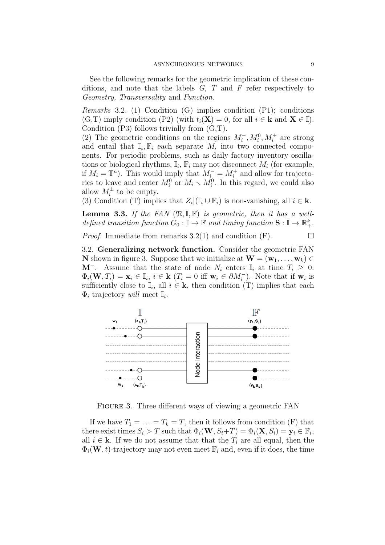See the following remarks for the geometric implication of these conditions, and note that the labels  $G, T$  and  $F$  refer respectively to Geometry, Transversality and Function.

*Remarks* 3.2. (1) Condition  $(G)$  implies condition  $(P1)$ ; conditions (G,T) imply condition (P2) (with  $t_i(\mathbf{X}) = 0$ , for all  $i \in \mathbf{k}$  and  $\mathbf{X} \in \mathbb{I}$ ). Condition (P3) follows trivially from (G,T).

(2) The geometric conditions on the regions  $M_i^-, M_i^0, M_i^+$  are strong and entail that  $\mathbb{I}_i$ ,  $\mathbb{F}_i$  each separate  $M_i$  into two connected components. For periodic problems, such as daily factory inventory oscillations or biological rhythms,  $\mathbb{I}_i$ ,  $\mathbb{F}_i$  may not disconnect  $M_i$  (for example, if  $M_i = \mathbb{T}^n$ ). This would imply that  $M_i^- = M_i^+$  and allow for trajectories to leave and renter  $M_i^0$  or  $M_i \setminus M_i^0$ . In this regard, we could also allow  $M_i^{\pm}$  to be empty.

(3) Condition (T) implies that  $Z_i | (\mathbb{I}_i \cup \mathbb{F}_i)$  is non-vanishing, all  $i \in \mathbf{k}$ .

**Lemma 3.3.** If the FAN  $(\mathfrak{N}, \mathbb{I}, \mathbb{F})$  is geometric, then it has a welldefined transition function  $G_0 : \mathbb{I} \to \mathbb{F}$  and timing function  $\mathbf{S} : \mathbb{I} \to \mathbb{R}_+^k$ .

*Proof.* Immediate from remarks 3.2(1) and condition  $(F)$ .

3.2. Generalizing network function. Consider the geometric FAN **N** shown in figure 3. Suppose that we initialize at  $\mathbf{W} = (\mathbf{w}_1, \dots, \mathbf{w}_k) \in$ M<sup>-</sup>. Assume that the state of node  $N_i$  enters  $\mathbb{I}_i$  at time  $T_i \geq 0$ :  $\Phi_i(\mathbf{W}, T_i) = \mathbf{x}_i \in \mathbb{I}_i$ ,  $i \in \mathbf{k}$   $(T_i = 0 \text{ iff } \mathbf{w}_i \in \partial M_i^-)$ . Note that if  $\mathbf{w}_i$  is sufficiently close to  $\mathbb{I}_i$ , all  $i \in \mathbf{k}$ , then condition (T) implies that each  $\Phi_i$  trajectory will meet  $\mathbb{I}_i$ .



FIGURE 3. Three different ways of viewing a geometric FAN

If we have  $T_1 = \ldots = T_k = T$ , then it follows from condition (F) that there exist times  $S_i > T$  such that  $\Phi_i(\mathbf{W}, S_i + T) = \Phi_i(\mathbf{X}, S_i) = \mathbf{y}_i \in \mathbb{F}_i$ , all  $i \in \mathbf{k}$ . If we do not assume that that the  $T_i$  are all equal, then the  $\Phi_i(\mathbf{W}, t)$ -trajectory may not even meet  $\mathbb{F}_i$  and, even if it does, the time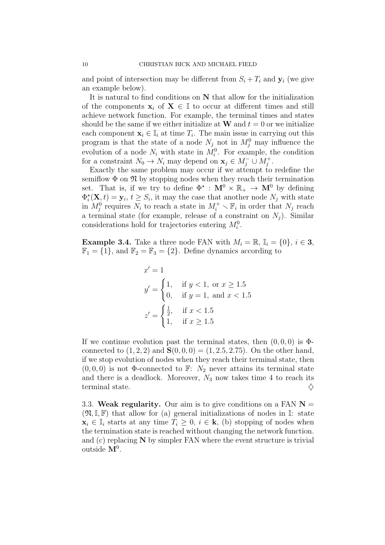and point of intersection may be different from  $S_i + T_i$  and  $y_i$  (we give an example below).

It is natural to find conditions on N that allow for the initialization of the components  $x_i$  of  $X \in \mathbb{I}$  to occur at different times and still achieve network function. For example, the terminal times and states should be the same if we either initialize at **W** and  $t = 0$  or we initialize each component  $\mathbf{x}_i \in \mathbb{I}_i$  at time  $T_i$ . The main issue in carrying out this program is that the state of a node  $N_j$  not in  $M_j^0$  may influence the evolution of a node  $N_i$  with state in  $M_i^0$ . For example, the condition for a constraint  $N_0 \to N_i$  may depend on  $\mathbf{x}_j \in M_j^- \cup M_j^+$ .

Exactly the same problem may occur if we attempt to redefine the semiflow  $\Phi$  on  $\mathfrak N$  by stopping nodes when they reach their termination set. That is, if we try to define  $\Phi^* : \mathbf{M}^0 \times \mathbb{R}_+ \to \mathbf{M}^0$  by defining  $\Phi_i^{\star}(\mathbf{X},t) = \mathbf{y}_i, t \geq S_i$ , it may the case that another node  $N_j$  with state in  $M_j^0$  requires  $N_i$  to reach a state in  $M_i^+ \setminus \mathbb{F}_i$  in order that  $N_j$  reach a terminal state (for example, release of a constraint on  $N_i$ ). Similar considerations hold for trajectories entering  $M_i^0$ .

**Example 3.4.** Take a three node FAN with  $M_i = \mathbb{R}$ ,  $\mathbb{I}_i = \{0\}$ ,  $i \in \mathbf{3}$ ,  $\mathbb{F}_1 = \{1\}$ , and  $\mathbb{F}_2 = \mathbb{F}_3 = \{2\}$ . Define dynamics according to

$$
x' = 1
$$
  
\n
$$
y' = \begin{cases} 1, & \text{if } y < 1, \text{ or } x \ge 1.5 \\ 0, & \text{if } y = 1, \text{ and } x < 1.5 \end{cases}
$$
  
\n
$$
z' = \begin{cases} \frac{1}{2}, & \text{if } x < 1.5 \\ 1, & \text{if } x \ge 1.5 \end{cases}
$$

If we continue evolution past the terminal states, then  $(0, 0, 0)$  is  $\Phi$ connected to  $(1, 2, 2)$  and  $S(0, 0, 0) = (1, 2.5, 2.75)$ . On the other hand, if we stop evolution of nodes when they reach their terminal state, then  $(0, 0, 0)$  is not  $\Phi$ -connected to F:  $N_2$  never attains its terminal state and there is a deadlock. Moreover,  $N_3$  now takes time 4 to reach its terminal state.  $\Diamond$ 

3.3. Weak regularity. Our aim is to give conditions on a FAN  $N =$  $(\mathfrak{N}, \mathbb{I}, \mathbb{F})$  that allow for (a) general initializations of nodes in  $\mathbb{I}$ : state  $\mathbf{x}_i \in \mathbb{I}_i$  starts at any time  $T_i \geq 0$ ,  $i \in \mathbf{k}$ , (b) stopping of nodes when the termination state is reached without changing the network function. and  $(c)$  replacing  $N$  by simpler FAN where the event structure is trivial outside  $M^0$ .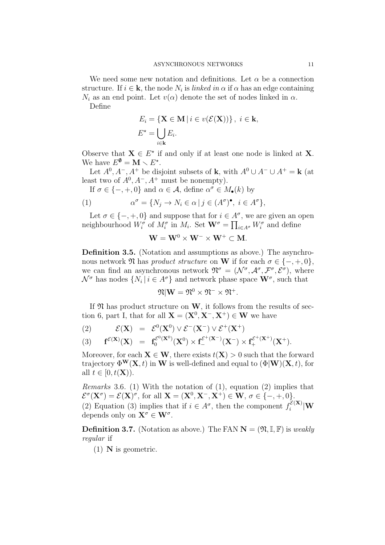We need some new notation and definitions. Let  $\alpha$  be a connection structure. If  $i \in \mathbf{k}$ , the node  $N_i$  is *linked in*  $\alpha$  if  $\alpha$  has an edge containing  $N_i$  as an end point. Let  $v(\alpha)$  denote the set of nodes linked in  $\alpha$ . Define

$$
E_i = \{ \mathbf{X} \in \mathbf{M} \mid i \in v(\mathcal{E}(\mathbf{X})) \}, \ i \in \mathbf{k},
$$
  

$$
E^* = \bigcup_{i \in \mathbf{k}} E_i.
$$

Observe that  $X \in E^*$  if and only if at least one node is linked at X. We have  $E^{\emptyset} = \mathbf{M} \setminus E^*$ .

Let  $A^0, A^-, A^+$  be disjoint subsets of **k**, with  $A^0 \cup A^- \cup A^+ = \mathbf{k}$  (at least two of  $A^0$ ,  $A^-$ ,  $A^+$  must be nonempty).

If  $\sigma \in \{-, +, 0\}$  and  $\alpha \in \mathcal{A}$ , define  $\alpha^{\sigma} \in M_{\bullet}(k)$  by

(1) 
$$
\alpha^{\sigma} = \{ N_j \to N_i \in \alpha \mid j \in (A^{\sigma})^{\bullet}, i \in A^{\sigma} \},
$$

Let  $\sigma \in \{-, +, 0\}$  and suppose that for  $i \in A^{\sigma}$ , we are given an open neighbourhood  $W_i^{\sigma}$  of  $M_i^{\sigma}$  in  $M_i$ . Set  $\mathbf{W}^{\sigma} = \prod_{i \in A^{\sigma}} W_i^{\sigma}$  and define

$$
\mathbf{W} = \mathbf{W}^0 \times \mathbf{W}^- \times \mathbf{W}^+ \subset \mathbf{M}.
$$

Definition 3.5. (Notation and assumptions as above.) The asynchronous network  $\mathfrak N$  has product structure on W if for each  $\sigma \in \{-, +, 0\}$ , we can find an asynchronous network  $\mathfrak{N}^{\sigma} = (\mathcal{N}^{\sigma}, \mathcal{A}^{\sigma}, \mathcal{F}^{\sigma}, \mathcal{E}^{\sigma})$ , where  $\mathcal{N}^{\sigma}$  has nodes  $\{N_i | i \in A^{\sigma}\}\$  and network phase space  $\mathbf{W}^{\sigma}$ , such that

$$
\mathfrak{N}|\mathbf{W}=\mathfrak{N}^0\times\mathfrak{N}^-\times\mathfrak{N}^+.
$$

If  $\mathfrak N$  has product structure on W, it follows from the results of section 6, part I, that for all  $X = (X^0, X^-, X^+) \in W$  we have

(2) 
$$
\mathcal{E}(\mathbf{X}) = \mathcal{E}^0(\mathbf{X}^0) \vee \mathcal{E}^-(\mathbf{X}^-) \vee \mathcal{E}^+(\mathbf{X}^+)
$$

$$
(3) \qquad {\bf f}^{\mathcal{E}({\bf X})}({\bf X}) \ \ = \ \ {\bf f}^{\mathcal{E}^{0}({\bf X}^{0})}_0({\bf X}^{0})\times {\bf f}^{\mathcal{E}^{+}({\bf X}^{-})}_-({\bf X}^{-})\times {\bf f}^{\mathcal{E}^{+}({\bf X}^{+})}_+({\bf X}^{+}).
$$

Moreover, for each  $X \in W$ , there exists  $t(X) > 0$  such that the forward trajectory  $\Phi^{\mathbf{W}}(\mathbf{X},t)$  in W is well-defined and equal to  $(\Phi | \mathbf{W})(\mathbf{X},t)$ , for all  $t \in [0, t(\mathbf{X})).$ 

*Remarks* 3.6. (1) With the notation of  $(1)$ , equation  $(2)$  implies that  $\mathcal{E}^{\sigma}(\mathbf{X}^{\sigma}) = \mathcal{E}(\mathbf{X})^{\sigma}$ , for all  $\mathbf{X} = (\mathbf{X}^0, \mathbf{X}^-, \mathbf{X}^+) \in \mathbf{W}$ ,  $\sigma \in \{-, +, 0\}$ . (2) Equation (3) implies that if  $i \in A^{\sigma}$ , then the component  $f_i^{\mathcal{E}(\mathbf{X})}$  $\frac{c^{(\mathbf{A})}}{i}|\mathbf{W}|$ depends only on  $\mathbf{X}^{\sigma} \in \mathbf{W}^{\sigma}$ .

**Definition 3.7.** (Notation as above.) The FAN  $N = (\mathfrak{N}, \mathbb{I}, \mathbb{F})$  is weakly regular if

 $(1)$  N is geometric.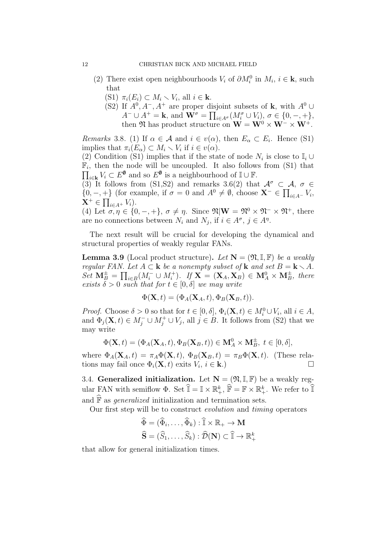- (2) There exist open neighbourhoods  $V_i$  of  $\partial M_i^0$  in  $M_i$ ,  $i \in \mathbf{k}$ , such that
	- (S1)  $\pi_i(E_i) \subset M_i \setminus V_i$ , all  $i \in \mathbf{k}$ .
	- (S2) If  $A^0$ ,  $A^-$ ,  $A^+$  are proper disjoint subsets of **k**, with  $A^0 \cup$  $A^- \cup A^+ = \mathbf{k}$ , and  $\mathbf{W}^{\sigma} = \prod_{i \in A^{\sigma}} (M_i^{\sigma} \cup V_i)$ ,  $\sigma \in \{0, -, +\},$ then  $\mathfrak{N}$  has product structure on  $\mathbf{W} = \mathbf{W}^0 \times \mathbf{W}^- \times \mathbf{W}^+$ .

*Remarks* 3.8. (1) If  $\alpha \in \mathcal{A}$  and  $i \in v(\alpha)$ , then  $E_{\alpha} \subset E_i$ . Hence (S1) implies that  $\pi_i(E_\alpha) \subset M_i \setminus V_i$  if  $i \in v(\alpha)$ .

(2) Condition (S1) implies that if the state of node  $N_i$  is close to  $\mathbb{I}_i \cup$  $\mathbb{F}_i$ , then the node will be uncoupled. It also follows from (S1) that  $\prod_{i\in\mathbf{k}}V_i\subset E^{\emptyset}$  and so  $E^{\emptyset}$  is a neighbourhood of  $\mathbb{I}\cup\mathbb{F}$ .

(3) It follows from (S1,S2) and remarks 3.6(2) that  $\mathcal{A}^{\sigma} \subset \mathcal{A}, \sigma \in$  $\{0, -, +\}$  (for example, if  $\sigma = 0$  and  $A^0 \neq \emptyset$ , choose  $\mathbf{X}^- \in \prod_{i \in A^-} V_i$ ,  $\mathbf{X}^+ \in \prod_{i \in A^+} V_i$ .

(4) Let  $\sigma, \eta \in \{0, -, +\}, \sigma \neq \eta$ . Since  $\mathfrak{N}|\mathbf{W} = \mathfrak{N}^0 \times \mathfrak{N}^- \times \mathfrak{N}^+$ , there are no connections between  $N_i$  and  $N_j$ , if  $i \in A^{\sigma}, j \in A^{\eta}$ .

The next result will be crucial for developing the dynamical and structural properties of weakly regular FANs.

**Lemma 3.9** (Local product structure). Let  $N = (\mathfrak{N}, \mathbb{I}, \mathbb{F})$  be a weakly regular FAN. Let  $A \subset \mathbf{k}$  be a nonempty subset of  $\mathbf{k}$  and set  $B = \mathbf{k} \setminus A$ .  $Set\ \mathbf{M}_{B}^{\pm}=\prod_{i\in B}(M_{i}^{-}\cup M_{i}^{+})$ . If  $\mathbf{X}=(\mathbf{X}_{A},\mathbf{X}_{B})\in \mathbf{M}_{A}^{0}\times \mathbf{M}_{B}^{\pm}$ , there exists  $\delta > 0$  such that for  $t \in [0, \delta]$  we may write

$$
\Phi(\mathbf{X},t) = (\Phi_A(\mathbf{X}_A,t), \Phi_B(\mathbf{X}_B,t)).
$$

*Proof.* Choose  $\delta > 0$  so that for  $t \in [0, \delta], \Phi_i(\mathbf{X}, t) \in M_i^0 \cup V_i$ , all  $i \in A$ , and  $\Phi_j(\mathbf{X},t) \in M_j^- \cup M_j^+ \cup V_j$ , all  $j \in B$ . It follows from (S2) that we may write

$$
\Phi(\mathbf{X},t)=(\Phi_A(\mathbf{X}_A,t),\Phi_B(\mathbf{X}_B,t))\in \mathbf{M}_A^0\times \mathbf{M}_B^{\pm},\;t\in [0,\delta],
$$

where  $\Phi_A(\mathbf{X}_A, t) = \pi_A \Phi(\mathbf{X}, t)$ ,  $\Phi_B(\mathbf{X}_B, t) = \pi_B \Phi(\mathbf{X}, t)$ . (These relations may fail once  $\Phi_i(\mathbf{X}, t)$  exits  $V_i, i \in \mathbf{k}$ .)

3.4. Generalized initialization. Let  $N = (\mathfrak{N}, \mathbb{I}, \mathbb{F})$  be a weakly regular FAN with semiflow  $\Phi$ . Set  $\mathbb{I} = \mathbb{I} \times \mathbb{R}^k_+$ ,  $\mathbb{F} = \mathbb{F} \times \mathbb{R}^k_+$ . We refer to  $\mathbb{I}$ and  $\widehat{F}$  as *generalized* initialization and termination sets.

Our first step will be to construct evolution and timing operators

$$
\widehat{\Phi} = (\widehat{\Phi}_i, \dots, \widehat{\Phi}_k) : \widehat{\mathbb{I}} \times \mathbb{R}_+ \to \mathbf{M}
$$

$$
\widehat{\mathbf{S}} = (\widehat{S}_1, \dots, \widehat{S}_k) : \widehat{\mathcal{D}}(\mathbf{N}) \subset \widehat{\mathbb{I}} \to \mathbb{R}_+^k
$$

that allow for general initialization times.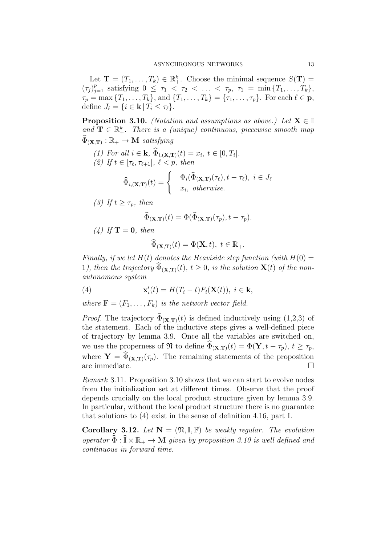Let  $\mathbf{T} = (T_1, \ldots, T_k) \in \mathbb{R}_+^k$ . Choose the minimal sequence  $S(\mathbf{T}) =$  $(\tau_j)_{j=1}^p$  satisfying  $0 \leq \tau_1 < \tau_2 < \ldots < \tau_p, \tau_1 = \min\{T_1, \ldots, T_k\},\$  $\tau_p = \max\{T_1, \ldots, T_k\},\$  and  $\{T_1, \ldots, T_k\} = \{\tau_1, \ldots, \tau_p\}.$  For each  $\ell \in \mathbf{p}$ , define  $J_{\ell} = \{i \in \mathbf{k} | T_i \leq \tau_{\ell}\}.$ 

**Proposition 3.10.** (Notation and assumptions as above.) Let  $X \in \mathbb{I}$ and  $\mathbf{T} \in \mathbb{R}^k_+$ . There is a (unique) continuous, piecewise smooth map  $\Phi_{(\mathbf{X},\mathbf{T})}: \mathbb{R}_+ \rightarrow \mathbf{M}$  satisfying

- (1) For all  $i \in \mathbf{k}$ ,  $\Phi_{i, (\mathbf{X}, \mathbf{T})}(t) = x_i, t \in [0, T_i].$ (2) If  $t \in [\tau_{\ell}, \tau_{\ell+1}], \ell < p$ , then  $\widehat{\Phi}_{i,(\mathbf{X},\mathbf{T})}(t) = \begin{cases} & \Phi_i(\widehat{\Phi}_{(\mathbf{X},\mathbf{T})}(\tau_\ell), t - \tau_\ell), \ i \in J_\ell \ & x, \ \text{otherwise} \end{cases}$  $x_i$ , otherwise.
- (3) If  $t \geq \tau_p$ , then

$$
\widehat{\Phi}_{(\mathbf{X},\mathbf{T})}(t) = \Phi(\widehat{\Phi}_{(\mathbf{X},\mathbf{T})}(\tau_p), t - \tau_p).
$$

(4) If  $\mathbf{T} = \mathbf{0}$ , then

$$
\widehat{\Phi}_{(\mathbf{X},\mathbf{T})}(t) = \Phi(\mathbf{X},t), \ t \in \mathbb{R}_+.
$$

Finally, if we let  $H(t)$  denotes the Heaviside step function (with  $H(0) =$ 1), then the trajectory  $\widehat{\Phi}_{(\mathbf{X},\mathbf{T})}(t)$ ,  $t > 0$ , is the solution  $\mathbf{X}(t)$  of the nonautonomous system

(4) 
$$
\mathbf{x}'_i(t) = H(T_i - t)F_i(\mathbf{X}(t)), \ i \in \mathbf{k},
$$

where  $\mathbf{F} = (F_1, \ldots, F_k)$  is the network vector field.

*Proof.* The trajectory  $\widehat{\Phi}_{(\mathbf{X},\mathbf{T})}(t)$  is defined inductively using (1,2,3) of the statement. Each of the inductive steps gives a well-defined piece of trajectory by lemma 3.9. Once all the variables are switched on, we use the properness of  $\mathfrak{N}$  to define  $\widehat{\Phi}_{(\mathbf{X},\mathbf{T})}(t) = \Phi(\mathbf{Y}, t - \tau_p), t \geq \tau_p$ , where  $\mathbf{Y} = \Phi(\mathbf{x}, \mathbf{r}) (\tau_p)$ . The remaining statements of the proposition are immediate.  $\Box$ 

Remark 3.11. Proposition 3.10 shows that we can start to evolve nodes from the initialization set at different times. Observe that the proof depends crucially on the local product structure given by lemma 3.9. In particular, without the local product structure there is no guarantee that solutions to (4) exist in the sense of definition 4.16, part I.

Corollary 3.12. Let  $N = (\mathfrak{N}, \mathbb{I}, \mathbb{F})$  be weakly regular. The evolution operator  $\widehat{\Phi}: \widehat{\mathbb{I}} \times \mathbb{R}_+ \to \mathbf{M}$  given by proposition 3.10 is well defined and continuous in forward time.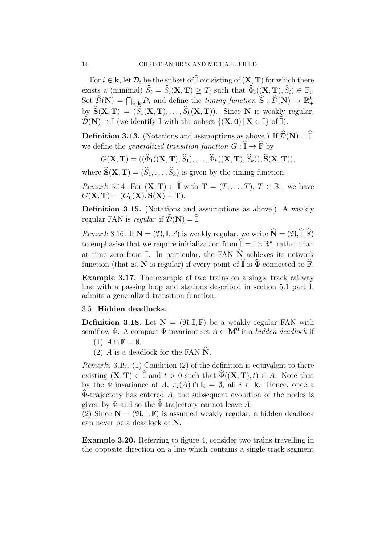For  $i \in \mathbf{k}$ , let  $\mathcal{D}_i$  be the subset of  $\mathbb{I}$  consisting of  $(\mathbf{X}, \mathbf{T})$  for which there exists a (minimal)  $S_i = S_i(\mathbf{X}, \mathbf{T}) \geq T_i$  such that  $\Phi_i((\mathbf{X}, \mathbf{T}), S_i) \in \mathbb{F}_i$ . Set  $\widehat{\mathcal{D}}(\mathbf{N}) = \bigcap_{i \in \mathbf{k}} \mathcal{D}_i$  and define the *timing function*  $\widehat{\mathbf{S}} : \widehat{\mathcal{D}}(\mathbf{N}) \to \mathbb{R}^k_+$ by  $\widehat{S}(\mathbf{X}, \mathbf{T}) = (\widehat{S}_1(\mathbf{X}, \mathbf{T}), \ldots, \widehat{S}_k(\mathbf{X}, \mathbf{T}))$ . Since N is weakly regular,  $\widehat{\mathcal{D}}(\mathbf{N}) \supset \mathbb{I}$  (we identify  $\mathbb{I}$  with the subset  $\{(\mathbf{X}, \mathbf{0}) | \mathbf{X} \in \mathbb{I}\}\$  of  $\widehat{\mathbb{I}}$ ).

**Definition 3.13.** (Notations and assumptions as above.) If  $\widehat{\mathcal{D}}(\mathbf{N}) = \widehat{\mathbb{I}}$ , we define the *generalized transition function*  $G: \hat{\mathbb{I}} \to \hat{\mathbb{F}}$  by

$$
G(\mathbf{X}, \mathbf{T}) = ((\widehat{\Phi}_1((\mathbf{X}, \mathbf{T}), \widehat{S}_1), \dots, \widehat{\Phi}_k((\mathbf{X}, \mathbf{T}), \widehat{S}_k)), \widehat{\mathbf{S}}(\mathbf{X}, \mathbf{T})),
$$

where  $S(X, T) = (S_1, \ldots, S_k)$  is given by the timing function.

*Remark* 3.14. For  $(X, T) \in \hat{\mathbb{I}}$  with  $T = (T, \ldots, T), T \in \mathbb{R}_+$  we have  $G(X, T) = (G_0(X), S(X) + T).$ 

Definition 3.15. (Notations and assumptions as above.) A weakly regular FAN is regular if  $\widehat{\mathcal{D}}(\mathbf{N}) = \widehat{\mathbb{I}}$ .

*Remark* 3.16. If  $\mathbf{N} = (\mathfrak{N}, \mathbb{I}, \mathbb{F})$  is weakly regular, we write  $\widehat{\mathbf{N}} = (\mathfrak{N}, \widehat{\mathbb{I}}, \widehat{\mathbb{F}})$ to emphasise that we require initialization from  $\widetilde{\mathbb{I}} = \mathbb{I} \times \mathbb{R}^k_+$  rather than at time zero from  $\mathbb I$ . In particular, the FAN  $\widehat{\mathbf{N}}$  achieves its network function (that is, N is regular) if every point of  $\widehat{\mathbb{I}}$  is  $\widehat{\Phi}$ -connected to  $\widehat{\mathbb{F}}$ .

Example 3.17. The example of two trains on a single track railway line with a passing loop and stations described in section 5.1 part I, admits a generalized transition function.

## 3.5. Hidden deadlocks.

**Definition 3.18.** Let  $N = (\mathfrak{N}, \mathbb{I}, \mathbb{F})$  be a weakly regular FAN with semiflow  $\Phi$ . A compact  $\Phi$ -invariant set  $A \subset \mathbf{M}^0$  is a *hidden deadlock* if

- (1)  $A \cap \mathbb{F} = \emptyset$ .
- (2) A is a deadlock for the FAN  $\widehat{N}$ .

Remarks 3.19. (1) Condition (2) of the definition is equivalent to there existing  $(X, T) \in \hat{\mathbb{I}}$  and  $t > 0$  such that  $\hat{\Phi}((X, T), t) \in A$ . Note that by the Φ-invariance of A,  $\pi_i(A) \cap \mathbb{I}_i = \emptyset$ , all  $i \in \mathbf{k}$ . Hence, once a  $\Phi$ -trajectory has entered A, the subsequent evolution of the nodes is given by  $\Phi$  and so the  $\Phi$ -trajectory cannot leave A.

(2) Since  $\mathbf{N} = (\mathfrak{N}, \mathbb{I}, \mathbb{F})$  is assumed weakly regular, a hidden deadlock can never be a deadlock of N.

Example 3.20. Referring to figure 4, consider two trains travelling in the opposite direction on a line which contains a single track segment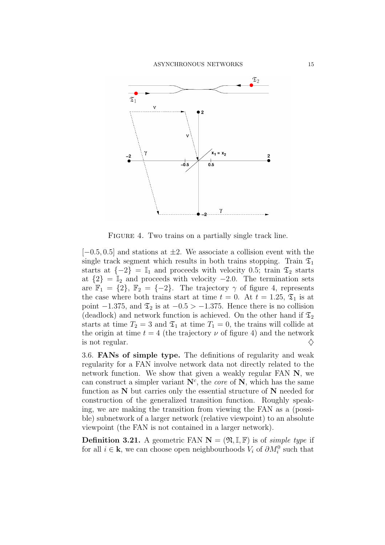

FIGURE 4. Two trains on a partially single track line.

 $[-0.5, 0.5]$  and stations at  $\pm 2$ . We associate a collision event with the single track segment which results in both trains stopping. Train  $\mathfrak{T}_1$ starts at  $\{-2\} = \mathbb{I}_1$  and proceeds with velocity 0.5; train  $\mathfrak{T}_2$  starts at  $\{2\} = \mathbb{I}_2$  and proceeds with velocity  $-2.0$ . The termination sets are  $\mathbb{F}_1 = \{2\}, \mathbb{F}_2 = \{-2\}.$  The trajectory  $\gamma$  of figure 4, represents the case where both trains start at time  $t = 0$ . At  $t = 1.25$ ,  $\mathfrak{T}_1$  is at point  $-1.375$ , and  $\mathfrak{T}_2$  is at  $-0.5 > -1.375$ . Hence there is no collision (deadlock) and network function is achieved. On the other hand if  $\mathfrak{T}_2$ starts at time  $T_2 = 3$  and  $\mathfrak{T}_1$  at time  $T_1 = 0$ , the trains will collide at the origin at time  $t = 4$  (the trajectory  $\nu$  of figure 4) and the network is not regular.  $\Diamond$ 

3.6. FANs of simple type. The definitions of regularity and weak regularity for a FAN involve network data not directly related to the network function. We show that given a weakly regular FAN N, we can construct a simpler variant  $\mathbb{N}^c$ , the *core* of  $\mathbb{N}$ , which has the same function as  $N$  but carries only the essential structure of  $N$  needed for construction of the generalized transition function. Roughly speaking, we are making the transition from viewing the FAN as a (possible) subnetwork of a larger network (relative viewpoint) to an absolute viewpoint (the FAN is not contained in a larger network).

**Definition 3.21.** A geometric FAN  $N = (\mathfrak{N}, \mathbb{I}, \mathbb{F})$  is of *simple type* if for all  $i \in \mathbf{k}$ , we can choose open neighbourhoods  $V_i$  of  $\partial M_i^0$  such that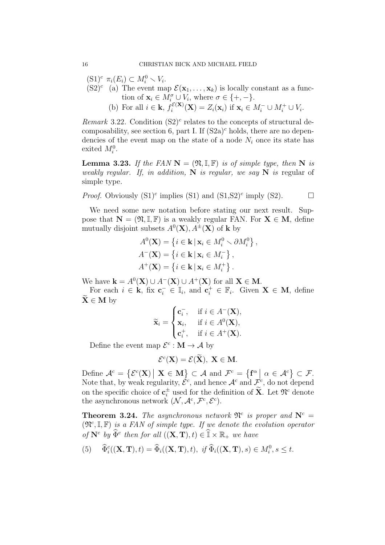$(S1)^c \ \pi_i(E_i) \subset M_i^0 \setminus V_i.$ 

- $(S2)^c$  (a) The event map  $\mathcal{E}(\mathbf{x}_1,\ldots,\mathbf{x}_k)$  is locally constant as a function of  $\mathbf{x}_i \in M_i^{\sigma} \cup V_i$ , where  $\sigma \in \{+, -\}.$ 
	- (b) For all  $i \in \mathbf{k}$ ,  $f_i^{\mathcal{E}(\mathbf{X})}$  $i^{\mathcal{E}(\mathbf{X})}(\mathbf{X}) = Z_i(\mathbf{x}_i)$  if  $\mathbf{x}_i \in M_i^- \cup M_i^+ \cup V_i$ .

Remark 3.22. Condition  $(S2)^c$  relates to the concepts of structural decomposability, see section 6, part I. If  $(S2a)^c$  holds, there are no dependencies of the event map on the state of a node  $N_i$  once its state has exited  $M_i^0$ .

**Lemma 3.23.** If the FAN  $N = (\mathfrak{N}, \mathbb{I}, \mathbb{F})$  is of simple type, then N is weakly regular. If, in addition,  $N$  is regular, we say  $N$  is regular of simple type.

*Proof.* Obviously  $(S1)^c$  implies  $(S1)$  and  $(S1,S2)^c$  imply  $(S2)$ .

We need some new notation before stating our next result. Suppose that  $N = (\mathfrak{N}, \mathbb{I}, \mathbb{F})$  is a weakly regular FAN. For  $X \in M$ , define mutually disjoint subsets  $A^0(\mathbf{X}), A^{\pm}(\mathbf{X})$  of **k** by

$$
A^{0}(\mathbf{X}) = \{i \in \mathbf{k} \mid \mathbf{x}_{i} \in M_{i}^{0} \setminus \partial M_{i}^{0}\},
$$
  

$$
A^{-}(\mathbf{X}) = \{i \in \mathbf{k} \mid \mathbf{x}_{i} \in M_{i}^{-}\},
$$
  

$$
A^{+}(\mathbf{X}) = \{i \in \mathbf{k} \mid \mathbf{x}_{i} \in M_{i}^{+}\}.
$$

We have  $\mathbf{k} = A^0(\mathbf{X}) \cup A^-(\mathbf{X}) \cup A^+(\mathbf{X})$  for all  $\mathbf{X} \in \mathbf{M}$ .

For each  $i \in \mathbf{k}$ , fix  $\mathbf{c}_i^- \in \mathbb{I}_i$ , and  $\mathbf{c}_i^+ \in \mathbb{F}_i$ . Given  $\mathbf{X} \in \mathbf{M}$ , define  $X \in M$  by

$$
\widetilde{\mathbf{x}}_i = \begin{cases} \mathbf{c}_i^-, & \text{if } i \in A^-(\mathbf{X}), \\ \mathbf{x}_i, & \text{if } i \in A^0(\mathbf{X}), \\ \mathbf{c}_i^+, & \text{if } i \in A^+(\mathbf{X}). \end{cases}
$$

Define the event map  $\mathcal{E}^c : \mathbf{M} \to \mathcal{A}$  by

$$
\mathcal{E}^c(\mathbf{X}) = \mathcal{E}(\widetilde{\mathbf{X}}), \ \mathbf{X} \in \mathbf{M}.
$$

Define  $\mathcal{A}^c = \{ \mathcal{E}^c(\mathbf{X}) \mid \mathbf{X} \in \mathbf{M} \} \subset \mathcal{A}$  and  $\mathcal{F}^c = \{ \mathbf{f}^{\alpha} \mid \alpha \in \mathcal{A}^c \} \subset \mathcal{F}$ . Note that, by weak regularity,  $\hat{\mathcal{E}}^c$ , and hence  $\mathcal{A}^c$  and  $\mathcal{F}^c$ , do not depend on the specific choice of  $\mathbf{c}_i^{\pm}$  used for the definition of  $\widetilde{\mathbf{X}}$ . Let  $\mathfrak{N}^c$  denote the asynchronous network  $(\mathcal{N}, \mathcal{A}^c, \mathcal{F}^c, \mathcal{E}^c)$ .

**Theorem 3.24.** The asynchronous network  $\mathfrak{N}^c$  is proper and  $\mathbf{N}^c$  =  $(\mathfrak{N}^c, \mathbb{I}, \mathbb{F})$  is a FAN of simple type. If we denote the evolution operator of  $\mathbf{N}^c$  by  $\widehat{\Phi}^c$  then for all  $((\mathbf{X}, \mathbf{T}), t) \in \mathbb{T} \times \mathbb{R}_+$  we have

(5) 
$$
\widehat{\Phi}_i^c((\mathbf{X}, \mathbf{T}), t) = \widehat{\Phi}_i((\mathbf{X}, \mathbf{T}), t), \text{ if } \widehat{\Phi}_i((\mathbf{X}, \mathbf{T}), s) \in M_i^0, s \leq t.
$$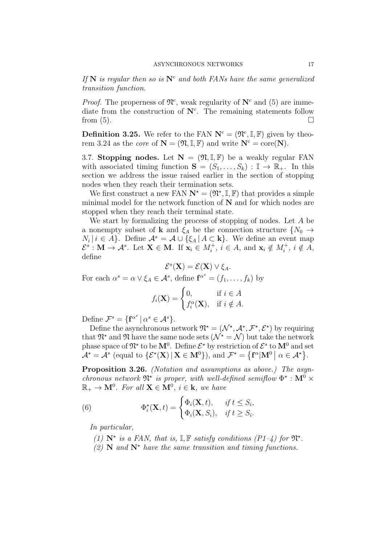If  $N$  is regular then so is  $N^c$  and both FANs have the same generalized transition function.

*Proof.* The properness of  $\mathfrak{N}^c$ , weak regularity of  $\mathbb{N}^c$  and (5) are immediate from the construction of  $\mathbf{N}^c$ . The remaining statements follow from  $(5)$ .

**Definition 3.25.** We refer to the FAN  $N^c = (\mathfrak{N}^c, \mathbb{I}, \mathbb{F})$  given by theorem 3.24 as the *core* of  $N = (\mathfrak{N}, \mathbb{I}, \mathbb{F})$  and write  $N^c = \text{core}(N)$ .

3.7. Stopping nodes. Let  $N = (\mathfrak{N}, \mathbb{I}, \mathbb{F})$  be a weakly regular FAN with associated timing function  $S = (S_1, \ldots, S_k) : \mathbb{I} \to \mathbb{R}_+$ . In this section we address the issue raised earlier in the section of stopping nodes when they reach their termination sets.

We first construct a new FAN  $N^* = (\mathfrak{N}^*, \mathbb{I}, \mathbb{F})$  that provides a simple minimal model for the network function of  $N$  and for which nodes are stopped when they reach their terminal state.

We start by formalizing the process of stopping of nodes. Let A be a nonempty subset of **k** and  $\xi_A$  be the connection structure  $\{N_0 \rightarrow$  $N_i | i \in A$ . Define  $\mathcal{A}^s = \mathcal{A} \cup \{\xi_A | A \subset \mathbf{k}\}.$  We define an event map  $\mathcal{E}^s$ : **M**  $\rightarrow$  A<sup>s</sup>. Let **X**  $\in$  **M**. If  $\mathbf{x}_i \in M_i^+$ ,  $i \in A$ , and  $\mathbf{x}_i \notin M_i^+$ ,  $i \notin A$ , define

$$
\mathcal{E}^s(\mathbf{X}) = \mathcal{E}(\mathbf{X}) \vee \xi_A.
$$

For each  $\alpha^s = \alpha \vee \xi_A \in \mathcal{A}^s$ , define  $\mathbf{f}^{\alpha^s} = (f_1, \dots, f_k)$  by

$$
f_i(\mathbf{X}) = \begin{cases} 0, & \text{if } i \in A \\ f_i^{\alpha}(\mathbf{X}), & \text{if } i \notin A. \end{cases}
$$

Define  $\mathcal{F}^s = {\mathbf{f}^{\alpha^s} \mid \alpha^s \in \mathcal{A}^s}.$ 

Define the asynchronous network  $\mathfrak{N}^* = (\mathcal{N}^*, \mathcal{A}^*, \mathcal{F}^*, \mathcal{E}^*)$  by requiring that  $\mathfrak{N}^*$  and  $\mathfrak{N}$  have the same node sets  $(\mathcal{N}^* = \mathcal{N})$  but take the network phase space of  $\mathfrak{N}^*$  to be  $\mathbf{M}^0$ . Define  $\mathcal{E}^*$  by restriction of  $\mathcal{E}^s$  to  $\mathbf{M}^0$  and set  $\mathcal{A}^{\star} = \mathcal{A}^s$  (equal to  $\{\mathcal{E}^{\star}(\mathbf{X}) \, | \, \mathbf{X} \in \mathbf{M}^0 \}$ ), and  $\mathcal{F}^{\star} = \{\mathbf{f}^{\alpha} | \mathbf{M}^0 \, | \, \alpha \in \mathcal{A}^{\star} \}.$ 

Proposition 3.26. (Notation and assumptions as above.) The asynchronous network  $\mathfrak{N}^{\star}$  is proper, with well-defined semiflow  $\Phi^{\star} : \mathbf{M}^0 \times$  $\mathbb{R}_+ \to \mathbf{M}^0$ . For all  $\mathbf{X} \in \mathbf{M}^0$ ,  $i \in \mathbf{k}$ , we have

(6) 
$$
\Phi_i^{\star}(\mathbf{X},t) = \begin{cases} \Phi_i(\mathbf{X},t), & \text{if } t \leq S_i, \\ \Phi_i(\mathbf{X},S_i), & \text{if } t \geq S_i. \end{cases}
$$

In particular,

- (1)  $\mathbb{N}^*$  is a FAN, that is,  $\mathbb{I}, \mathbb{F}$  satisfy conditions (P1-4) for  $\mathfrak{N}^*$ .
- (2) N and  $N^*$  have the same transition and timing functions.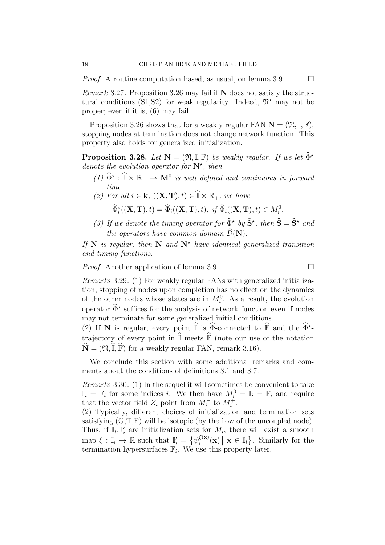*Proof.* A routine computation based, as usual, on lemma 3.9.  $\Box$ 

Remark 3.27. Proposition 3.26 may fail if N does not satisfy the structural conditions (S1, S2) for weak regularity. Indeed,  $\mathfrak{N}^*$  may not be proper; even if it is, (6) may fail.

Proposition 3.26 shows that for a weakly regular FAN  $N = (\mathfrak{N}, \mathbb{I}, \mathbb{F})$ , stopping nodes at termination does not change network function. This property also holds for generalized initialization.

**Proposition 3.28.** Let  $N = (\mathfrak{N}, \mathbb{I}, \mathbb{F})$  be weakly regular. If we let  $\widehat{\Phi}^*$ denote the evolution operator for  $\mathbb{N}^*$ , then

- (1)  $\hat{\Phi}^* : \mathbb{T} \times \mathbb{R}_+ \to \mathbf{M}^0$  is well defined and continuous in forward time.
- (2) For all  $i \in \mathbf{k}$ ,  $((\mathbf{X}, \mathbf{T}), t) \in \widehat{\mathbb{I}} \times \mathbb{R}_+$ , we have

 $\widehat{\Phi}_i^{\star}((\mathbf{X}, \mathbf{T}), t) = \widehat{\Phi}_i((\mathbf{X}, \mathbf{T}), t), \text{ if } \widehat{\Phi}_i((\mathbf{X}, \mathbf{T}), t) \in M_i^0.$ 

(3) If we denote the timing operator for  $\widehat{\Phi}^{\star}$  by  $\widehat{S}^{\star}$ , then  $\widehat{S} = \widehat{S}^{\star}$  and the operators have common domain  $\widehat{\mathcal{D}}(\mathbf{N}).$ 

If N is regular, then N and  $N^*$  have identical generalized transition and timing functions.

*Proof.* Another application of lemma 3.9. □

Remarks 3.29. (1) For weakly regular FANs with generalized initialization, stopping of nodes upon completion has no effect on the dynamics of the other nodes whose states are in  $M_i^0$ . As a result, the evolution operator  $\widehat{\Phi}^*$  suffices for the analysis of network function even if nodes may not terminate for some generalized initial conditions.

(2) If N is regular, every point  $\overline{\mathbb{I}}$  is  $\overline{\Phi}$ -connected to  $\overline{\mathbb{F}}$  and the  $\overline{\Phi}^*$ trajectory of every point in  $\widehat{\mathbb{I}}$  meets  $\widehat{\mathbb{F}}$  (note our use of the notation  $\widehat{\mathbf{N}} = (\mathfrak{N},\widehat{\mathbb{I}},\widehat{\mathbb{F}})$  for a weakly regular FAN, remark 3.16).

We conclude this section with some additional remarks and comments about the conditions of definitions 3.1 and 3.7.

Remarks 3.30. (1) In the sequel it will sometimes be convenient to take  $\mathbb{I}_i = \mathbb{F}_i$  for some indices *i*. We then have  $M_i^0 = \mathbb{I}_i = \mathbb{F}_i$  and require that the vector field  $Z_i$  point from  $M_i^-$  to  $M_i^+$ .

(2) Typically, different choices of initialization and termination sets satisfying  $(G, T, F)$  will be isotopic (by the flow of the uncoupled node). Thus, if  $\mathbb{I}_i, \mathbb{I}'_i$  are initialization sets for  $M_i$ , there will exist a smooth map  $\xi : \mathbb{I}_i \to \mathbb{R}$  such that  $\mathbb{I}'_i = \{ \psi_i^{\xi(\mathbf{x})} \}$  $\zeta_i^{(\mathbf{x})}(\mathbf{x}) | \mathbf{x} \in \mathbb{I}_i$ . Similarly for the termination hypersurfaces  $\mathbb{F}_i$ . We use this property later.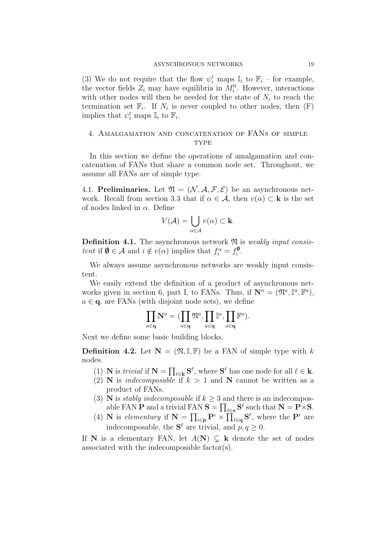(3) We do not require that the flow  $\psi_i^t$  maps  $\mathbb{I}_i$  to  $\mathbb{F}_i$  – for example, the vector fields  $Z_i$  may have equilibria in  $M_i^0$ . However, interactions with other nodes will then be needed for the state of  $N_i$  to reach the termination set  $\mathbb{F}_i$ . If  $N_i$  is never coupled to other nodes, then  $(F)$ implies that  $\psi_i^t$  maps  $\mathbb{I}_i$  to  $\mathbb{F}_i$ .

# 4. Amalgamation and concatenation of FANs of simple **TYPE**

In this section we define the operations of amalgamation and concatenation of FANs that share a common node set. Throughout, we assume all FANs are of simple type.

4.1. Preliminaries. Let  $\mathfrak{N} = (\mathcal{N}, \mathcal{A}, \mathcal{F}, \mathcal{E})$  be an asynchronous network. Recall from section 3.3 that if  $\alpha \in \mathcal{A}$ , then  $v(\alpha) \subset \mathbf{k}$  is the set of nodes linked in  $\alpha$ . Define

$$
V(\mathcal{A}) = \bigcup_{\alpha \in \mathcal{A}} v(\alpha) \subset \mathbf{k}.
$$

**Definition 4.1.** The asynchronous network  $\mathfrak{N}$  is *weakly input consis*tent if  $\mathbf{0} \in \mathcal{A}$  and  $i \notin v(\alpha)$  implies that  $f_i^{\alpha} = f_i^{\mathbf{0}}$  $\frac{\mathbf{v}}{i}$ .

We always assume asynchronous networks are weakly input consistent.

We easily extend the definition of a product of asynchronous networks given in section 6, part I, to FANs. Thus, if  $\mathbf{N}^a = (\mathfrak{N}^a, \mathbb{F}^a)$ ,  $a \in \mathbf{q}$ , are FANs (with disjoint node sets), we define

$$
\prod_{a\in \mathbf{q}}\mathbf{N}^a=(\prod_{a\in \mathbf{q}}\mathfrak{N}^a, \prod_{a\in \mathbf{q}}\mathbb{I}^a, \prod_{a\in \mathbf{q}}\mathbb{F}^a).
$$

Next we define some basic building blocks.

**Definition 4.2.** Let  $N = (\mathfrak{N}, \mathbb{I}, \mathbb{F})$  be a FAN of simple type with k nodes.

- (1) **N** is *trivial* if  $N = \prod_{\ell \in \mathbf{k}} S^{\ell}$ , where  $S^{\ell}$  has one node for all  $\ell \in \mathbf{k}$ .
- (2) **N** is *indecomposable* if  $k > 1$  and **N** cannot be written as a product of FANs.
- (3) **N** is *stably indecomposable* if  $k \geq 3$  and there is an indecomposable FAN **P** and a trivial FAN  $S = \prod_{\ell \in s} S^{\ell}$  such that  $N = P \times S$ .
- (4) N is elementary if  $N = \prod_{i\in p} P^i \times \prod_{\ell \in q} S^{\ell}$ , where the  $P^i$  are indecomposable, the  $S^{\ell}$  are trivial, and  $p, q \geq 0$ .

If N is a elementary FAN, let  $A(N) \subseteq k$  denote the set of nodes associated with the indecomposable factor(s).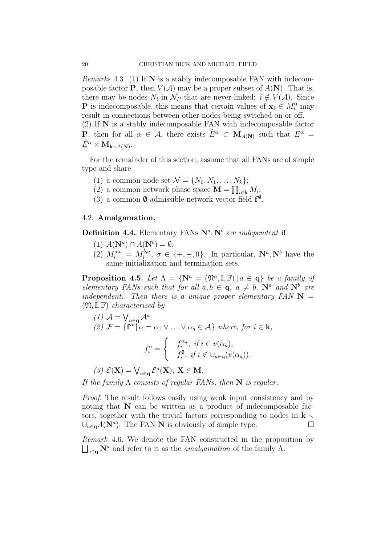*Remarks* 4.3. (1) If  $N$  is a stably indecomposable FAN with indecomposable factor **P**, then  $V(A)$  may be a proper subset of  $A(\mathbf{N})$ . That is, there may be nodes  $N_i$  in  $\mathcal{N}_P$  that are never linked:  $i \notin V(\mathcal{A})$ . Since **P** is indecomposable, this means that certain values of  $x_i \in M_i^0$  may result in connections between other nodes being switched on or off. (2) If N is a stably indecomposable FAN with indecomposable factor **P**, then for all  $\alpha \in \mathcal{A}$ , there exists  $\hat{E}^{\alpha} \subset M_{A(N)}$  such that  $E^{\alpha} =$  $\hat E^\alpha \times \mathbf{M}_{\mathbf{k} \smallsetminus A(\mathbf{N})}.$ 

For the remainder of this section, assume that all FANs are of simple type and share

- (1) a common node set  $\mathcal{N} = \{N_0, N_1, \ldots, N_k\};$
- (2) a common network phase space  $\mathbf{M} = \prod_{i \in \mathbf{k}} M_i$ ;
- (3) a common  $\varnothing$ -admissible network vector field  $f^{\varnothing}$ .

### 4.2. Amalgamation.

**Definition 4.4.** Elementary FANs  $N^a$ ,  $N^b$  are *independent* if

- (1)  $A(\mathbf{N}^a) \cap A(\mathbf{N}^b) = \emptyset$ .
- (2)  $M_i^{a,\sigma} = M_i^{b,\sigma}$  $i_0^{b,\sigma}, \sigma \in \{+, -, 0\}.$  In particular,  $\mathbf{N}^a, \mathbf{N}^b$  have the same initialization and termination sets.

**Proposition 4.5.** Let  $\Lambda = {\bf\{N}}^a = (\mathfrak{N}^a, \mathbb{I}, \mathbb{F}) | a \in \mathbf{q} \}$  be a family of elementary FANs such that for all  $a, b \in \mathbf{q}$ ,  $a \neq b$ ,  $\mathbf{N}^a$  and  $\mathbf{N}^b$  are independent. Then there is a unique proper elementary  $FAN \mathbf{N} =$  $(\mathfrak{N}, \mathbb{I}, \mathbb{F})$  characterised by

(1) 
$$
\mathcal{A} = \bigvee_{a \in \mathbf{q}} \mathcal{A}^a
$$
.  
\n(2)  $\mathcal{F} = \{ \mathbf{f}^\alpha \mid \alpha = \alpha_1 \vee \ldots \vee \alpha_q \in \mathcal{A} \}$  where, for  $i \in \mathbf{k}$ ,  
\n
$$
\mathbf{f}^\alpha = \int f_i^{\alpha_a}, \text{ if } i \in v(\alpha_a),
$$

$$
f_i^{\alpha} = \begin{cases} & i, \quad i \in \mathcal{U}(a_i), \\ & f_i^{\phi}, \quad \text{if } i \notin \cup_{a \in \mathbf{q}}(v(\alpha_a)). \end{cases}
$$

(3) 
$$
\mathcal{E}(\mathbf{X}) = \bigvee_{a \in \mathbf{q}} \mathcal{E}^a(\mathbf{X}), \mathbf{X} \in \mathbf{M}.
$$

If the family  $\Lambda$  consists of regular FANs, then  $N$  is regular.

Proof. The result follows easily using weak input consistency and by noting that N can be written as a product of indecomposable factors, together with the trivial factors corresponding to nodes in  $\mathbf{k} \setminus \mathbf{k}$  $\bigcup_{a\in\mathbf{q}}A(\mathbf{N}^a)$ . The FAN **N** is obviously of simple type.

Remark 4.6. We denote the FAN constructed in the proposition by  $\bigsqcup_{a \in \mathbf{q}} \mathbf{N}^a$  and refer to it as the *amalgamation* of the family  $\Lambda$ .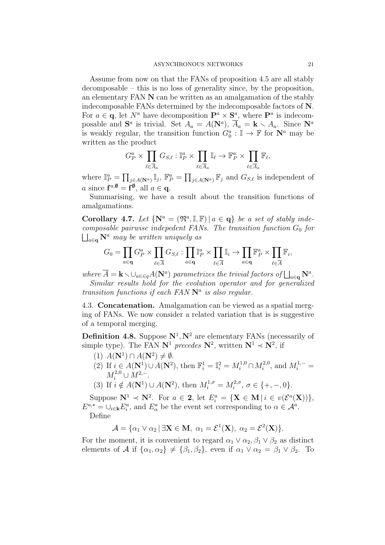Assume from now on that the FANs of proposition 4.5 are all stably decomposable – this is no loss of generality since, by the proposition, an elementary FAN N can be written as an amalgamation of the stably indecomposable FANs determined by the indecomposable factors of N. For  $a \in \mathbf{q}$ , let  $N^a$  have decomposition  $\mathbf{P}^a \times \mathbf{S}^a$ , where  $\mathbf{P}^a$  is indecomposable and  $S^a$  is trivial. Set  $A_a = A(\mathbf{N}^a)$ ,  $\overline{A}_a = \mathbf{k} \setminus A_a$ . Since  $\mathbf{N}^a$ is weakly regular, the transition function  $G_0^a: \mathbb{I} \to \mathbb{F}$  for  $\mathbb{N}^a$  may be written as the product

$$
G_P^a \times \prod_{\ell \in \overline{A}_a} G_{S,\ell} : \mathbb{I}_P^a \times \prod_{\ell \in \overline{A}_a} \mathbb{I}_\ell \to \mathbb{F}_P^a \times \prod_{\ell \in \overline{A}_a} \mathbb{F}_\ell,
$$

where  $\mathbb{I}_P^a = \prod_{j\in A(\mathbf{N}^a)} \mathbb{I}_j$ ,  $\mathbb{F}_P^a = \prod_{j\in A(\mathbf{N}^a)} \mathbb{F}_j$  and  $G_{S,\ell}$  is independent of a since  $f^{a,\emptyset} = f^{\emptyset}$ , all  $a \in \mathbf{q}$ .

Summarising, we have a result about the transition functions of amalgamations.

Corollary 4.7. Let  $\{N^a = (\mathfrak{N}^a, \mathbb{I}, \mathbb{F}) | a \in \mathbf{q}\}\$ be a set of stably indecomposable pairwise indepedent FANs. The transition function  $G_0$  for  $\bigcup_{a\in\mathbf{q}}\mathbf{N}^a$  may be written uniquely as

$$
G_0 = \prod_{a \in \mathbf{q}} G_P^a \times \prod_{\ell \in \overline{A}} G_{S,\ell} : \prod_{a \in \mathbf{q}} \mathbb{I}_P^a \times \prod_{\ell \in \overline{A}} \mathbb{I}_i \to \prod_{a \in \mathbf{q}} \mathbb{F}_P^a \times \prod_{\ell \in \overline{A}} \mathbb{F}_i,
$$

where  $\overline{A} = \mathbf{k} \setminus \bigcup_{a \in \mathsf{G} } A(\mathbf{N}^a)$  parametrizes the trivial factors of  $\bigsqcup_{a \in \mathbf{q}} \mathbf{N}^a$ . Similar results hold for the evolution operator and for generalized transition functions if each  $FAN N<sup>a</sup>$  is also regular.

4.3. Concatenation. Amalgamation can be viewed as a spatial merging of FANs. We now consider a related variation that is is suggestive of a temporal merging.

**Definition 4.8.** Suppose  $\mathbb{N}^1$ ,  $\mathbb{N}^2$  are elementary FANs (necessarily of simple type). The FAN  $N^1$  precedes  $N^2$ , written  $N^1 \prec N^2$ , if

- (1)  $A(\mathbf{N}^1) \cap A(\mathbf{N}^2) \neq \emptyset$ .
- (2) If  $i \in A(\mathbf{N}^1) \cup A(\mathbf{N}^2)$ , then  $\mathbb{F}_i^1 = \mathbb{I}_i^2 = M_i^{1,0} \cap M_i^{2,0}$  $i^{2,0}$ , and  $M_i^{1,-}$  =  $M_i^{2,0} \cup M^{2,-}.$
- (3) If  $i \notin A(\mathbf{N}^1) \cup A(\mathbf{N}^2)$ , then  $M_i^{1,\sigma} = M_i^{2,\sigma}$  $i^{2,\sigma}, \sigma \in \{+, -, 0\}.$

Suppose  $\mathbf{N}^1 \prec \mathbf{N}^2$ . For  $a \in \mathbf{2}$ , let  $E_i^a = {\mathbf{X} \in \mathbf{M} \mid i \in v(\mathcal{E}^a(\mathbf{X})) }$ ,  $E^{a,\star} = \cup_{i \in \mathbf{k}} E_i^a$ , and  $E^a_\alpha$  be the event set corresponding to  $\alpha \in \mathcal{A}^a$ . Define

$$
\mathcal{A} = {\alpha_1 \vee \alpha_2 \mid \exists \mathbf{X} \in \mathbf{M}, \ \alpha_1 = \mathcal{E}^1(\mathbf{X}), \ \alpha_2 = \mathcal{E}^2(\mathbf{X})}.
$$

For the moment, it is convenient to regard  $\alpha_1 \vee \alpha_2, \beta_1 \vee \beta_2$  as distinct elements of A if  $\{\alpha_1, \alpha_2\} \neq \{\beta_1, \beta_2\}$ , even if  $\alpha_1 \vee \alpha_2 = \beta_1 \vee \beta_2$ . To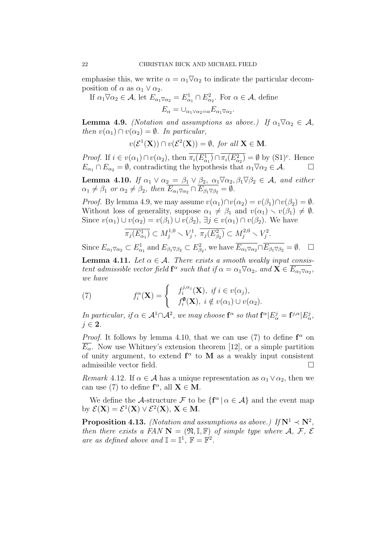emphasise this, we write  $\alpha = \alpha_1 \nabla \alpha_2$  to indicate the particular decomposition of  $\alpha$  as  $\alpha_1 \vee \alpha_2$ .

If  $\alpha_1 \overline{\vee} \alpha_2 \in \mathcal{A}$ , let  $E_{\alpha_1 \overline{\vee} \alpha_2} = E_{\alpha_1}^1 \cap E_{\alpha_2}^2$ . For  $\alpha \in \mathcal{A}$ , define  $E_{\alpha} = \bigcup_{\alpha_1 \vee \alpha_2 = \alpha} E_{\alpha_1 \overline{\vee} \alpha_2}.$ 

**Lemma 4.9.** (Notation and assumptions as above.) If  $\alpha_1 \overline{\vee} \alpha_2 \in \mathcal{A}$ , then  $v(\alpha_1) \cap v(\alpha_2) = \emptyset$ . In particular,

$$
v(\mathcal{E}^1(\mathbf{X})) \cap v(\mathcal{E}^2(\mathbf{X})) = \emptyset, \text{ for all } \mathbf{X} \in \mathbf{M}.
$$

*Proof.* If  $i \in v(\alpha_1) \cap v(\alpha_2)$ , then  $\overline{\pi_i(E_{\alpha_1}^1)} \cap \overline{\pi_i(E_{\alpha_2}^2)} = \emptyset$  by  $(S1)^c$ . Hence  $E_{\alpha_1} \cap E_{\alpha_2} = \emptyset$ , contradicting the hypothesis that  $\alpha_1 \overline{\vee} \alpha_2 \in \mathcal{A}$ .

**Lemma 4.10.** If  $\alpha_1 \vee \alpha_2 = \beta_1 \vee \beta_2$ ,  $\alpha_1 \nabla \alpha_2, \beta_1 \nabla \beta_2 \in \mathcal{A}$ , and either  $\alpha_1 \neq \beta_1$  or  $\alpha_2 \neq \beta_2$ , then  $E_{\alpha_1 \overline{\vee} \alpha_2} \cap E_{\beta_1 \overline{\vee} \beta_2} = \emptyset$ .

*Proof.* By lemma 4.9, we may assume  $v(\alpha_1) \cap v(\alpha_2) = v(\beta_1) \cap v(\beta_2) = \emptyset$ . Without loss of generality, suppose  $\alpha_1 \neq \beta_1$  and  $v(\alpha_1) \setminus v(\beta_1) \neq \emptyset$ . Since  $v(\alpha_1) \cup v(\alpha_2) = v(\beta_1) \cup v(\beta_2)$ ,  $\exists j \in v(\alpha_1) \cap v(\beta_2)$ . We have

$$
\overline{\pi_j(E_{\alpha_1}^1)} \subset M_j^{1,0} \smallsetminus V_j^1, \ \overline{\pi_j(E_{\beta_2}^2)} \subset M_j^{2,0} \smallsetminus V_j^2.
$$

Since  $E_{\alpha_1\overline{\vee}\alpha_2} \subset E^1_{\alpha_1}$  and  $E_{\beta_1\overline{\vee}\beta_2} \subset E^2_{\beta_2}$ , we have  $\overline{E_{\alpha_1\overline{\vee}\alpha_2}} \cap \overline{E_{\beta_1\overline{\vee}\beta_2}} = \emptyset$ .  $\Box$ 

**Lemma 4.11.** Let  $\alpha \in \mathcal{A}$ . There exists a smooth weakly input consistent admissible vector field  $f^{\alpha}$  such that if  $\alpha = \alpha_1 \nabla \alpha_2$ , and  $\mathbf{X} \in \overline{E_{\alpha_1} \nabla_{\alpha_2}}$ , we have

(7) 
$$
f_i^{\alpha}(\mathbf{X}) = \begin{cases} f_i^{j,\alpha_j}(\mathbf{X}), & \text{if } i \in v(\alpha_j), \\ f_i^{\phi}(\mathbf{X}), & \text{if } i \notin v(\alpha_1) \cup v(\alpha_2). \end{cases}
$$

In particular, if  $\alpha \in \mathcal{A}^1 \cap \mathcal{A}^2$ , we may choose  $\mathbf{f}^{\alpha}$  so that  $\mathbf{f}^{\alpha} | E^j_{\alpha} = \mathbf{f}^{j, \alpha} | E^j_{\alpha}$ ,  $j \in 2$ .

*Proof.* It follows by lemma 4.10, that we can use (7) to define  $f^{\alpha}$  on  $\overline{E_{\alpha}}$ . Now use Whitney's extension theorem [12], or a simple partition of unity argument, to extend  $f^{\alpha}$  to M as a weakly input consistent admissible vector field.

Remark 4.12. If  $\alpha \in \mathcal{A}$  has a unique representation as  $\alpha_1 \vee \alpha_2$ , then we can use (7) to define  $f^{\alpha}$ , all  $X \in M$ .

We define the A-structure F to be  $\{f^{\alpha} | \alpha \in A\}$  and the event map by  $\mathcal{E}(\mathbf{X}) = \mathcal{E}^1(\mathbf{X}) \vee \mathcal{E}^2(\mathbf{X}), \mathbf{X} \in \mathbf{M}.$ 

**Proposition 4.13.** (Notation and assumptions as above.) If  $N^1 \prec N^2$ , then there exists a FAN  $N = (\mathfrak{N}, \mathbb{I}, \mathbb{F})$  of simple type where  $\mathcal{A}, \mathcal{F}, \mathcal{E}$ are as defined above and  $\mathbb{I} = \mathbb{I}^1$ ,  $\mathbb{F} = \mathbb{F}^2$ .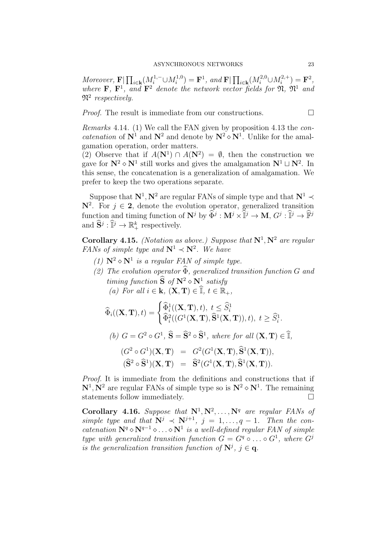Moreover,  $\mathbf{F} \mid \prod_{i \in \mathbf{k}} (M_i^{1,-} \cup M_i^{1,0})$  $\mathbf{F}^{1,0}_{i}$  =  $\mathbf{F}^{1}$ , and  $\mathbf{F}|\prod_{i\in\mathbf{k}}(M_{i}^{2,0}\cup M_{i}^{2,+})$  $f_i^{(2, +)} = \mathbf{F}^2,$ where  $\mathbf{F}$ ,  $\mathbf{F}^1$ , and  $\mathbf{F}^2$  denote the network vector fields for  $\mathfrak{N}$ ,  $\mathfrak{N}^1$  and  $\mathfrak{N}^2$  respectively.

*Proof.* The result is immediate from our constructions.  $\Box$ 

Remarks 4.14. (1) We call the FAN given by proposition 4.13 the con*catenation* of  $N^1$  and  $N^2$  and denote by  $N^2 \diamond N^1$ . Unlike for the amalgamation operation, order matters.

(2) Observe that if  $A(\mathbf{N}^1) \cap A(\mathbf{N}^2) = \emptyset$ , then the construction we gave for  $N^2 \diamond N^1$  still works and gives the amalgamation  $N^1 \sqcup N^2$ . In this sense, the concatenation is a generalization of amalgamation. We prefer to keep the two operations separate.

Suppose that  $N^1, N^2$  are regular FANs of simple type and that  $N^1 \prec$  $\mathbb{N}^2$ . For  $j \in 2$ , denote the evolution operator, generalized transition function and timing function of  $\mathbb{N}^j$  by  $\widehat{\Phi}^j : \mathbb{M}^j \times \mathbb{I}^j \to \mathbb{M}, G^j : \mathbb{I}^j \to \mathbb{F}^j$ and  $\widetilde{\mathbf{S}}^j : \widetilde{\mathbb{I}}^j \to \mathbb{R}^k_+$  respectively.

**Corollary 4.15.** (Notation as above.) Suppose that  $N^1, N^2$  are regular FANs of simple type and  $N^1 \prec N^2$ . We have

- (1)  $\mathbf{N}^2 \diamond \mathbf{N}^1$  is a regular FAN of simple type.
- (2) The evolution operator  $\widehat{\Phi}$ , generalized transition function G and timing function  $\widetilde{S}$  of  $N^2 \diamond N^1$  satisfy (a) For all  $i \in \mathbf{k}$ ,  $(\mathbf{X}, \mathbf{T}) \in \widehat{\mathbb{I}}$ ,  $t \in \mathbb{R}_+$ ,

$$
\widehat{\Phi}_i((\mathbf{X}, \mathbf{T}), t) = \begin{cases}\n\widehat{\Phi}_i^1((\mathbf{X}, \mathbf{T}), t), \ t \leq \widehat{S}_i^1 \\
\widehat{\Phi}_i^2((G^1(\mathbf{X}, \mathbf{T}), \widehat{\mathbf{S}}^1(\mathbf{X}, \mathbf{T})), t), \ t \geq \widehat{S}_i^1.\n\end{cases}
$$
\n(*b*)  $G = G^2 \circ G^1$ ,  $\widehat{\mathbf{S}} = \widehat{\mathbf{S}}^2 \circ \widehat{\mathbf{S}}^1$ , where for all  $(\mathbf{X}, \mathbf{T}) \in \widehat{\mathbb{I}}$ ,  
\n $(G^2 \circ G^1)(\mathbf{X}, \mathbf{T}) = G^2(G^1(\mathbf{X}, \mathbf{T}), \widehat{\mathbf{S}}^1(\mathbf{X}, \mathbf{T})),$   
\n $(\widehat{\mathbf{S}}^2 \circ \widehat{\mathbf{S}}^1)(\mathbf{X}, \mathbf{T}) = \widehat{\mathbf{S}}^2(G^1(\mathbf{X}, \mathbf{T}), \widehat{\mathbf{S}}^1(\mathbf{X}, \mathbf{T})).$ 

Proof. It is immediate from the definitions and constructions that if  $N^1, N^2$  are regular FANs of simple type so is  $N^2 \diamond N^1$ . The remaining statements follow immediately.  $\Box$ 

Corollary 4.16. Suppose that  $N^1, N^2, \ldots, N^q$  are regular FANs of simple type and that  $N^j \prec N^{j+1}$ ,  $j = 1, ..., q-1$ . Then the concatenation  $N^q \circ N^{q-1} \circ \ldots \circ N^1$  is a well-defined regular FAN of simple type with generalized transition function  $G = G^q \circ \dots \circ G^1$ , where  $G^j$ is the generalization transition function of  $N^j$ ,  $j \in \mathbf{q}$ .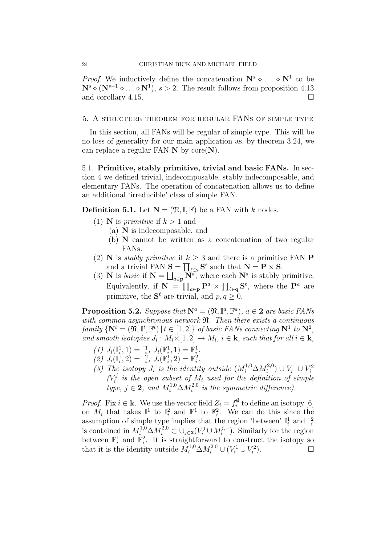*Proof.* We inductively define the concatenation  $\mathbb{N}^s \diamond \dots \diamond \mathbb{N}^1$  to be  $\mathbf{N}^{s} \diamond (\mathbf{N}^{s-1} \diamond \ldots \diamond \mathbf{N}^{1}), s > 2$ . The result follows from proposition 4.13 and corollary 4.15.

### 5. A structure theorem for regular FANs of simple type

In this section, all FANs will be regular of simple type. This will be no loss of generality for our main application as, by theorem 3.24, we can replace a regular FAN  $N$  by core $(N)$ .

5.1. Primitive, stably primitive, trivial and basic FANs. In section 4 we defined trivial, indecomposable, stably indecomposable, and elementary FANs. The operation of concatenation allows us to define an additional 'irreducible' class of simple FAN.

**Definition 5.1.** Let  $N = (\mathfrak{N}, \mathbb{I}, \mathbb{F})$  be a FAN with k nodes.

- (1) **N** is *primitive* if  $k > 1$  and
	- (a) N is indecomposable, and
	- (b) N cannot be written as a concatenation of two regular FANs.
- (2) **N** is *stably primitive* if  $k \geq 3$  and there is a primitive FAN **P** and a trivial FAN  $S = \prod_{\ell \in \mathbf{s}} S^{\ell}$  such that  $\mathbf{N} = \mathbf{P} \times \mathbf{S}$ .
- (3) **N** is basic if  $N = \bigsqcup_{a \in \mathbf{p}} \widetilde{N}^a$ , where each  $N^a$  is stably primitive. Equivalently, if  $\mathbf{N} = \prod_{a \in \mathbf{p}} \mathbf{P}^a \times \prod_{\ell \in \mathbf{q}} \mathbf{S}^{\ell}$ , where the  $\mathbf{P}^a$  are primitive, the  $S^{\ell}$  are trivial, and  $p, q \geq 0$ .

**Proposition 5.2.** Suppose that  $N^a = (\mathfrak{N}, \mathbb{I}^a, \mathbb{F}^a)$ ,  $a \in \mathbf{2}$  are basic FANs with common asynchronous network  $\mathfrak{N}$ . Then there exists a continuous family  $\{N^t = (\mathfrak{N}, \mathbb{I}^t, \mathbb{F}^t) | t \in [1,2]\}$  of basic FANs connecting  $N^1$  to  $N^2$ , and smooth isotopies  $J_i : M_i \times [1,2] \to M_i$ ,  $i \in \mathbf{k}$ , such that for all  $i \in \mathbf{k}$ ,

- (1)  $J_i(\mathbb{I}_i^1, 1) = \mathbb{I}_i^1, J_i(\mathbb{F}_i^1, 1) = \mathbb{F}_i^1.$
- (2)  $J_i(\mathbb{I}_i^1, 2) = \mathbb{I}_i^2$ ,  $J_i(\mathbb{F}_i^1, 2) = \mathbb{F}_i^2$ .
- (3) The isotopy  $J_i$  is the identity outside  $(M_i^{1,0}\Delta M_i^{2,0})$  $i^{2,0}) \cup V_i^1 \cup V_i^2$  $(V_i^j)$  $\mathcal{I}_i^j$  is the open subset of  $M_i$  used for the definition of simple type,  $j \in 2$ , and  $M_i^{1,0} \Delta M_i^{2,0}$  $i^{2,0}$  is the symmetric difference).

*Proof.* Fix  $i \in \mathbf{k}$ . We use the vector field  $Z_i = f_i^{\phi}$  $\binom{0}{i}$  to define an isotopy [6] on  $M_i$  that takes  $\mathbb{I}^1$  to  $\mathbb{I}^2_i$  and  $\mathbb{F}^1$  to  $\mathbb{F}^2_i$ . We can do this since the assumption of simple type implies that the region 'between'  $\mathbb{I}_i^1$  and  $\mathbb{I}_i^2$ is contained in  $M_i^{1,0} \Delta M_i^{2,0} \subset \cup_{j\in 2} (V_i^j \cup M_i^{j,-}$  $i^{(j,-)}$ . Similarly for the region between  $\mathbb{F}_i^1$  and  $\mathbb{F}_i^2$ . It is straightforward to construct the isotopy so that it is the identity outside  $M_i^{1,0} \Delta M_i^{2,0} \cup (V_i^1 \cup V_i^2)$ .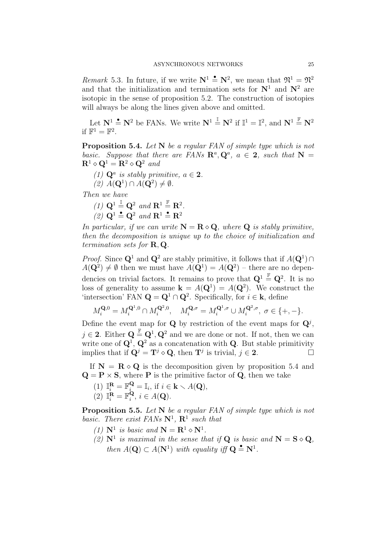Remark 5.3. In future, if we write  $N^1 \triangleq N^2$ , we mean that  $\mathfrak{N}^1 = \mathfrak{N}^2$ and that the initialization and termination sets for  $N^1$  and  $N^2$  are isotopic in the sense of proposition 5.2. The construction of isotopies will always be along the lines given above and omitted.

Let  $N^1 \stackrel{\bullet}{=} N^2$  be FANs. We write  $N^1 \stackrel{\mathbb{I}}{=} N^2$  if  $\mathbb{I}^1 = \mathbb{I}^2$ , and  $N^1 \stackrel{\mathbb{F}}{=} N^2$ if  $\mathbb{F}^1 = \mathbb{F}^2$ .

Proposition 5.4. Let N be a regular FAN of simple type which is not basic. Suppose that there are FANs  $\mathbb{R}^a, \mathbb{Q}^a, a \in 2$ , such that  $\mathbb{N} =$  $\mathbf{R}^1 \diamond \mathbf{Q}^1 = \mathbf{R}^2 \diamond \mathbf{Q}^2$  and

(1)  $\mathbf{Q}^a$  is stably primitive,  $a \in \mathbf{2}$ .  $(2)$   $A(\mathbf{Q}^1) \cap A(\mathbf{Q}^2) \neq \emptyset$ .

Then we have

(1) 
$$
\mathbf{Q}^1 \stackrel{\mathbb{I}}{=} \mathbf{Q}^2
$$
 and  $\mathbf{R}^1 \stackrel{\mathbb{F}}{=} \mathbf{R}^2$ .

(2)  $\mathbf{Q}^1 \triangleq \mathbf{Q}^2$  and  $\mathbf{R}^1 \triangleq \mathbf{R}^2$ 

In particular, if we can write  $N = R \diamond Q$ , where Q is stably primitive, then the decomposition is unique up to the choice of initialization and termination sets for  $\mathbf{R}, \mathbf{Q}$ .

*Proof.* Since  $\mathbf{Q}^1$  and  $\mathbf{Q}^2$  are stably primitive, it follows that if  $A(\mathbf{Q}^1) \cap$  $A(\mathbf{Q}^2) \neq \emptyset$  then we must have  $A(\mathbf{Q}^1) = A(\mathbf{Q}^2)$  – there are no dependencies on trivial factors. It remains to prove that  $\mathbf{Q}^1 \stackrel{\mathbb{F}}{=} \mathbf{Q}^2$ . It is no loss of generality to assume  $\mathbf{k} = A(\mathbf{Q}^1) = A(\mathbf{Q}^2)$ . We construct the 'intersection' FAN  $\mathbf{Q} = \mathbf{Q}^1 \cap \mathbf{Q}^2$ . Specifically, for  $i \in \mathbf{k}$ , define

$$
M_i^{\mathbf{Q},0} = M_i^{\mathbf{Q}^1,0} \cap M_i^{\mathbf{Q}^2,0}, \quad M_i^{\mathbf{Q},\sigma} = M_i^{\mathbf{Q}^1,\sigma} \cup M_i^{\mathbf{Q}^2,\sigma}, \; \sigma \in \{+, -\}.
$$

Define the event map for **Q** by restriction of the event maps for  $\mathbf{Q}^{j}$ ,  $j \in 2$ . Either  $\mathbf{Q} \stackrel{\mathbb{F}}{=} \mathbf{Q}^1, \mathbf{Q}^2$  and we are done or not. If not, then we can write one of  $\mathbf{Q}^1$ ,  $\mathbf{Q}^2$  as a concatenation with **Q**. But stable primitivity implies that if  $\mathbf{Q}^j = \mathbf{T}^j \diamond \mathbf{Q}$ , then  $\mathbf{T}^j$  is trivial,  $j \in \mathbf{2}$ .

If  $N = R \diamond Q$  is the decomposition given by proposition 5.4 and  $\mathbf{Q} = \mathbf{P} \times \mathbf{S}$ , where **P** is the primitive factor of **Q**, then we take

- (1)  $\mathbb{I}_{i}^{\mathbf{R}} = \mathbb{F}_{i}^{\mathbf{Q}} = \mathbb{I}_{i}$ , if  $i \in \mathbf{k} \setminus A(\mathbf{Q})$ ,
- $(2)$   $\mathbb{I}_i^{\mathbf{R}} = \mathbb{F}_i^{\mathbf{Q}}$  $i, i \in A(\mathbf{Q}).$

**Proposition 5.5.** Let N be a regular FAN of simple type which is not basic. There exist FANs  $\mathbb{N}^1$ ,  $\mathbb{R}^1$  such that

- (1)  $N^1$  is basic and  $N = R^1 \diamond N^1$ .
- (2)  $N^1$  is maximal in the sense that if  $Q$  is basic and  $N = S \diamond Q$ , then  $A(\mathbf{Q}) \subset A(\mathbf{N}^1)$  with equality iff  $\mathbf{Q} \triangleq \mathbf{N}^1$ .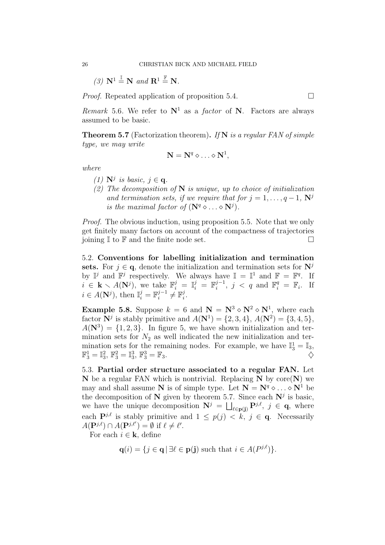(3) 
$$
\mathbf{N}^1 \stackrel{\mathbb{I}}{=} \mathbf{N}
$$
 and  $\mathbf{R}^1 \stackrel{\mathbb{F}}{=} \mathbf{N}$ .

*Proof.* Repeated application of proposition 5.4.

Remark 5.6. We refer to  $N^1$  as a *factor* of N. Factors are always assumed to be basic.

**Theorem 5.7** (Factorization theorem). If N is a regular FAN of simple type, we may write

$$
\mathbf{N} = \mathbf{N}^q \diamond \ldots \diamond \mathbf{N}^1,
$$

where

- (1)  $N^j$  is basic,  $j \in \mathbf{q}$ .
- (2) The decomposition of  $N$  is unique, up to choice of initialization and termination sets, if we require that for  $j = 1, \ldots, q - 1$ ,  $N^j$ is the maximal factor of  $(N<sup>q</sup> \circ ... \circ N<sup>j</sup>)$ .

Proof. The obvious induction, using proposition 5.5. Note that we only get finitely many factors on account of the compactness of trajectories joining  $\mathbb{I}$  to  $\mathbb{F}$  and the finite node set.

5.2. Conventions for labelling initialization and termination sets. For  $j \in \mathbf{q}$ , denote the initialization and termination sets for  $N^j$ by  $\mathbb{I}^j$  and  $\mathbb{F}^j$  respectively. We always have  $\mathbb{I} = \mathbb{I}^1$  and  $\mathbb{F} = \mathbb{F}^q$ . If  $i \in \mathbf{k} \setminus A(\mathbf{N}^j)$ , we take  $\mathbb{F}_i^j = \mathbb{I}_i^j = \mathbb{F}_i^{j-1}$  $i^{j-1}, \, j \, < \, q$  and  $\mathbb{F}_i^q = \mathbb{F}_i$ . If  $i \in A(\mathbf{N}^j)$ , then  $\mathbb{I}_i^j = \mathbb{F}_i^{j-1}$  $i^{j-1} \neq \mathbb{F}_i^j$  $\frac{j}{i}$  .

**Example 5.8.** Suppose  $k = 6$  and  $N = N^3 \diamond N^2 \diamond N^1$ , where each factor  $N^j$  is stably primitive and  $A(N^1) = \{2, 3, 4\}, A(N^2) = \{3, 4, 5\},\$  $A(\mathbf{N}^3) = \{1, 2, 3\}.$  In figure 5, we have shown initialization and termination sets for  $N_2$  as well indicated the new initialization and termination sets for the remaining nodes. For example, we have  $\mathbb{I}_3^1 = \mathbb{I}_3$ ,  $\mathbb{F}_3^1 = \mathbb{I}_3^2$ ,  $\mathbb{F}_3^2 = \mathbb{I}_3^3$ ,  $\mathbb{F}_3^3 = \mathbb{F}_3$ .

5.3. Partial order structure associated to a regular FAN. Let  $N$  be a regular FAN which is nontrivial. Replacing  $N$  by core $(N)$  we may and shall assume N is of simple type. Let  $N = N^q \circ \dots \circ N^1$  be the decomposition of N given by theorem 5.7. Since each  $N^j$  is basic, we have the unique decomposition  $N^j = \bigsqcup_{\ell \in \mathbf{p}(\mathbf{j})} \mathbf{P}^{j,\ell}, \; j \in \mathbf{q}, \;$  where each  $\mathbf{P}^{j,\ell}$  is stably primitive and  $1 \leq p(j) \leq k, j \in \mathbf{q}$ . Necessarily  $A(\mathbf{P}^{j,\ell}) \cap A(\mathbf{P}^{j,\ell'}) = \emptyset$  if  $\ell \neq \ell'.$ 

For each  $i \in \mathbf{k}$ , define

$$
\mathbf{q}(i) = \{ j \in \mathbf{q} \mid \exists \ell \in \mathbf{p}(j) \text{ such that } i \in A(P^{j,\ell}) \}.
$$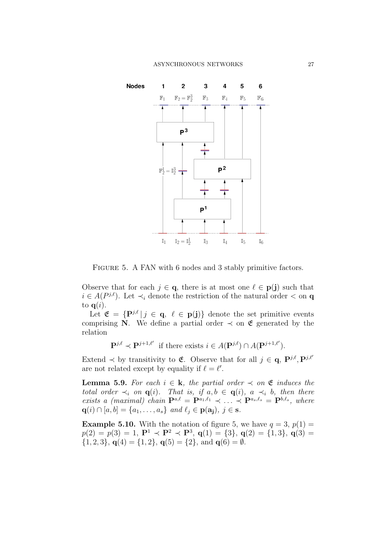

FIGURE 5. A FAN with 6 nodes and 3 stably primitive factors.

Observe that for each  $j \in \mathbf{q}$ , there is at most one  $\ell \in \mathbf{p}(j)$  such that  $i \in A(P^{j,\ell})$ . Let  $\prec_i$  denote the restriction of the natural order  $\prec$  on **q** to  $q(i)$ .

Let  $\mathfrak{E} = {\mathbf{P}}^{j,\ell} | j \in \mathbf{q}, \ell \in \mathbf{p}(\mathbf{j})\}$  denote the set primitive events comprising N. We define a partial order  $\prec$  on  $\mathfrak E$  generated by the relation

 $\mathbf{P}^{j,\ell} \prec \mathbf{P}^{j+1,\ell'}$  if there exists  $i \in A(\mathbf{P}^{j,\ell}) \cap A(\mathbf{P}^{j+1,\ell'}).$ 

Extend  $\prec$  by transitivity to **E**. Observe that for all  $j \in \mathbf{q}$ ,  $\mathbf{P}^{j,\ell}$ ,  $\mathbf{P}^{j,\ell'}$ are not related except by equality if  $\ell = \ell'$ .

**Lemma 5.9.** For each  $i \in \mathbf{k}$ , the partial order  $\prec$  on  $\mathfrak{E}$  induces the total order  $\prec_i$  on  $\mathbf{q}(i)$ . That is, if  $a, b \in \mathbf{q}(i)$ ,  $a \prec_i b$ , then there exists a (maximal) chain  $\mathbf{P}^{a,\ell} = \mathbf{P}^{a_1,\ell_1} \prec \ldots \prec \mathbf{P}^{a_s,\ell_s} = \mathbf{P}^{b,\ell_s}$ , where  $\mathbf{q}(i) \cap [a, b] = \{a_1, \ldots, a_s\}$  and  $\ell_j \in \mathbf{p}(\mathbf{a_j})$ ,  $j \in \mathbf{s}$ .

**Example 5.10.** With the notation of figure 5, we have  $q = 3$ ,  $p(1) =$  $p(2) = p(3) = 1$ ,  $\mathbf{P}^1 \prec \mathbf{P}^2 \prec \mathbf{P}^3$ ,  $q(1) = \{3\}$ ,  $q(2) = \{1,3\}$ ,  $q(3) =$  $\{1, 2, 3\}, \mathbf{q}(4) = \{1, 2\}, \mathbf{q}(5) = \{2\}, \text{ and } \mathbf{q}(6) = \emptyset.$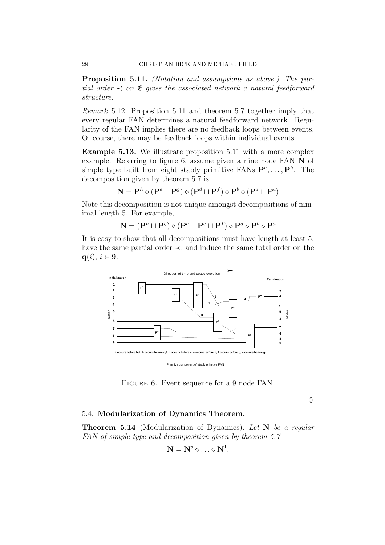Proposition 5.11. (Notation and assumptions as above.) The partial order  $\prec$  on  $\mathfrak E$  gives the associated network a natural feedforward structure.

Remark 5.12. Proposition 5.11 and theorem 5.7 together imply that every regular FAN determines a natural feedforward network. Regularity of the FAN implies there are no feedback loops between events. Of course, there may be feedback loops within individual events.

Example 5.13. We illustrate proposition 5.11 with a more complex example. Referring to figure 6, assume given a nine node FAN N of simple type built from eight stably primitive FANs  $\mathbf{P}^{a}, \ldots, \mathbf{P}^{h}$ . The decomposition given by theorem 5.7 is

$$
\mathbf{N}=\mathbf{P}^h\diamond(\mathbf{P}^e\sqcup\mathbf{P}^g)\diamond(\mathbf{P}^d\sqcup\mathbf{P}^f)\diamond\mathbf{P}^b\diamond(\mathbf{P}^a\sqcup\mathbf{P}^c)
$$

Note this decomposition is not unique amongst decompositions of minimal length 5. For example,

 $\mathbf{N} = (\mathbf{P}^h \sqcup \mathbf{P}^g) \diamond (\mathbf{P}^c \sqcup \mathbf{P}^e \sqcup \mathbf{P}^f) \diamond \mathbf{P}^d \diamond \mathbf{P}^b \diamond \mathbf{P}^a$ 

It is easy to show that all decompositions must have length at least 5, have the same partial order  $\prec$ , and induce the same total order on the  $q(i), i \in 9.$ 



FIGURE 6. Event sequence for a 9 node FAN.

 $\Diamond$ 

### 5.4. Modularization of Dynamics Theorem.

**Theorem 5.14** (Modularization of Dynamics). Let  $N$  be a regular FAN of simple type and decomposition given by theorem 5.7

$$
\mathbf{N} = \mathbf{N}^q \diamond \ldots \diamond \mathbf{N}^1,
$$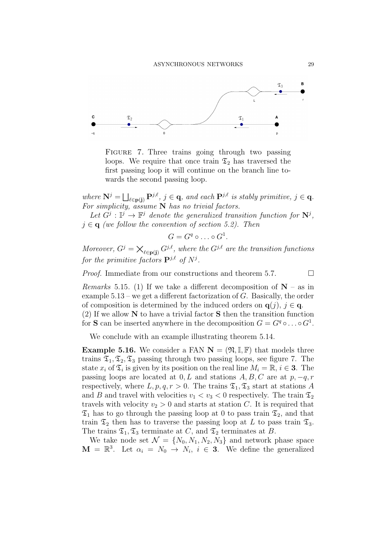

FIGURE 7. Three trains going through two passing loops. We require that once train  $\mathfrak{T}_2$  has traversed the first passing loop it will continue on the branch line towards the second passing loop.

where  $\mathbf{N}^j = \bigsqcup_{\ell \in \mathbf{p}(\mathbf{j})} \mathbf{P}^{j,\ell}, j \in \mathbf{q}$ , and each  $\mathbf{P}^{j,\ell}$  is stably primitive,  $j \in \mathbf{q}$ . For simplicity, assume  $N$  has no trivial factors.

Let  $G^j: \mathbb{I}^j \to \mathbb{F}^j$  denote the generalized transition function for  $\mathbb{N}^j$ ,  $j \in \mathbf{q}$  (we follow the convention of section 5.2). Then

$$
G=G^q\circ\ldots\circ G^1.
$$

Moreover,  $G^j = \bigtimes_{\ell \in \mathbf{p}(\mathbf{j})} G^{j,\ell}$ , where the  $G^{j,\ell}$  are the transition functions for the primitive factors  $\mathbf{P}^{j,\ell}$  of  $N^j$ .

*Proof.* Immediate from our constructions and theorem 5.7.  $\Box$ 

*Remarks* 5.15. (1) If we take a different decomposition of  $N - as$  in example  $5.13$  – we get a different factorization of G. Basically, the order of composition is determined by the induced orders on  $q(j), j \in q$ . (2) If we allow  $N$  to have a trivial factor  $S$  then the transition function

for **S** can be inserted anywhere in the decomposition  $G = G^q \circ \dots \circ G^1$ .

We conclude with an example illustrating theorem 5.14.

**Example 5.16.** We consider a FAN  $N = (\mathfrak{N}, \mathbb{I}, \mathbb{F})$  that models three trains  $\mathfrak{T}_1, \mathfrak{T}_2, \mathfrak{T}_3$  passing through two passing loops, see figure 7. The state  $x_i$  of  $\mathfrak{T}_i$  is given by its position on the real line  $M_i = \mathbb{R}, i \in \mathbf{3}$ . The passing loops are located at  $0, L$  and stations  $A, B, C$  are at  $p, -q, r$ respectively, where  $L, p, q, r > 0$ . The trains  $\mathfrak{T}_1, \mathfrak{T}_3$  start at stations A and B and travel with velocities  $v_1 < v_3 < 0$  respectively. The train  $\mathfrak{T}_2$ travels with velocity  $v_2 > 0$  and starts at station C. It is required that  $\mathfrak{T}_1$  has to go through the passing loop at 0 to pass train  $\mathfrak{T}_2$ , and that train  $\mathfrak{T}_2$  then has to traverse the passing loop at L to pass train  $\mathfrak{T}_3$ . The trains  $\mathfrak{T}_1, \mathfrak{T}_3$  terminates at B.

We take node set  $\mathcal{N} = \{N_0, N_1, N_2, N_3\}$  and network phase space  $\mathbf{M} = \mathbb{R}^3$ . Let  $\alpha_i = N_0 \rightarrow N_i$ ,  $i \in \mathbf{3}$ . We define the generalized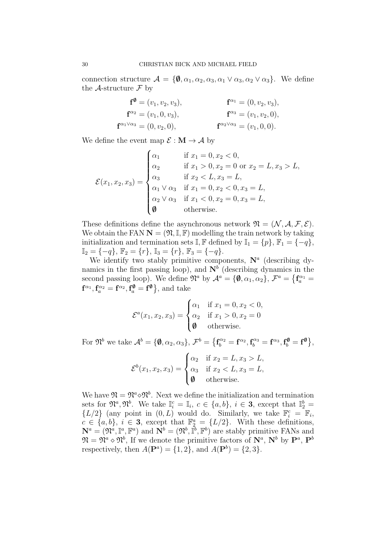connection structure  $\mathcal{A} = \{\emptyset, \alpha_1, \alpha_2, \alpha_3, \alpha_1 \vee \alpha_3, \alpha_2 \vee \alpha_3\}.$  We define the A-structure  $\mathcal F$  by

$$
\mathbf{f}^{\mathbf{\emptyset}} = (v_1, v_2, v_3), \n\mathbf{f}^{\alpha_2} = (v_1, 0, v_3), \n\mathbf{f}^{\alpha_1} = (0, v_2, v_3), \n\mathbf{f}^{\alpha_2} = (v_1, 0, v_3), \n\mathbf{f}^{\alpha_3} = (v_1, v_2, 0), \n\mathbf{f}^{\alpha_2 \vee \alpha_3} = (v_1, 0, 0).
$$

We define the event map  $\mathcal{E}: \mathbf{M} \to \mathcal{A}$  by

$$
\mathcal{E}(x_1, x_2, x_3) = \begin{cases}\n\alpha_1 & \text{if } x_1 = 0, x_2 < 0, \\
\alpha_2 & \text{if } x_1 > 0, x_2 = 0 \text{ or } x_2 = L, x_3 > L, \\
\alpha_3 & \text{if } x_2 < L, x_3 = L, \\
\alpha_1 \vee \alpha_3 & \text{if } x_1 = 0, x_2 < 0, x_3 = L, \\
\alpha_2 \vee \alpha_3 & \text{if } x_1 < 0, x_2 = 0, x_3 = L, \\
\emptyset & \text{otherwise.} \n\end{cases}
$$

These definitions define the asynchronous network  $\mathfrak{N} = (\mathcal{N}, \mathcal{A}, \mathcal{F}, \mathcal{E})$ . We obtain the FAN  $\mathbf{N} = (\mathfrak{N}, \mathbb{I}, \mathbb{F})$  modelling the train network by taking initialization and termination sets  $\mathbb{I}, \mathbb{F}$  defined by  $\mathbb{I}_1 = \{p\}, \mathbb{F}_1 = \{-q\},$  $\mathbb{I}_2 = \{-q\}, \mathbb{F}_2 = \{r\}, \mathbb{I}_3 = \{r\}, \mathbb{F}_3 = \{-q\}.$ 

We identify two stably primitive components,  $N^a$  (describing dynamics in the first passing loop), and  $\mathbb{N}^b$  (describing dynamics in the second passing loop). We define  $\mathfrak{N}^a$  by  $\mathcal{A}^a = \{\emptyset, \alpha_1, \alpha_2\}, \, \mathcal{F}^a = \{\mathbf{f}_a^{\alpha_1} =$  $\mathbf{f}^{\alpha_1}, \mathbf{f}_a^{\alpha_2} = \mathbf{f}^{\alpha_2}, \mathbf{f}_a^{\emptyset} = \mathbf{f}^{\emptyset}$ , and take

$$
\mathcal{E}^{a}(x_1, x_2, x_3) = \begin{cases} \alpha_1 & \text{if } x_1 = 0, x_2 < 0, \\ \alpha_2 & \text{if } x_1 > 0, x_2 = 0 \\ \emptyset & \text{otherwise.} \end{cases}
$$

For  $\mathfrak{N}^b$  we take  $\mathcal{A}^b = \{\emptyset, \alpha_2, \alpha_3\}, \, \mathcal{F}^b = \{\mathbf{f}^{\alpha_2}_b = \mathbf{f}^{\alpha_2}, \mathbf{f}^{\alpha_3}_b = \mathbf{f}^{\alpha_3}, \mathbf{f}^{\emptyset}_b = \mathbf{f}^{\emptyset}\},$ 

$$
\mathcal{E}^{b}(x_1, x_2, x_3) = \begin{cases} \alpha_2 & \text{if } x_2 = L, x_3 > L, \\ \alpha_3 & \text{if } x_2 < L, x_3 = L, \\ \emptyset & \text{otherwise.} \end{cases}
$$

We have  $\mathfrak{N} = \mathfrak{N}^a \diamond \mathfrak{N}^b$ . Next we define the initialization and termination sets for  $\mathfrak{N}^a, \mathfrak{N}^b$ . We take  $\mathbb{I}_i^c = \mathbb{I}_i$ ,  $c \in \{a, b\}$ ,  $i \in \mathbf{3}$ , except that  $\mathbb{I}_2^b =$  $\{L/2\}$  (any point in  $(0, L)$  would do. Similarly, we take  $\mathbb{F}_i^c = \mathbb{F}_i$ ,  $c \in \{a, b\}, i \in \mathbf{3}$ , except that  $\mathbb{F}_2^a = \{L/2\}$ . With these definitions,  $\mathbf{N}^a = (\mathfrak{N}^a, \mathbb{I}^a, \mathbb{F}^a)$  and  $\mathbf{N}^b = (\mathfrak{N}^b, \mathbb{I}^b, \mathbb{F}^b)$  are stably primitive FANs and  $\mathfrak{N} = \mathfrak{N}^a \diamond \mathfrak{N}^b$ , If we denote the primitive factors of  $\mathbf{N}^a$ ,  $\mathbf{N}^b$  by  $\mathbf{P}^a$ ,  $\mathbf{P}^b$ respectively, then  $A(\mathbf{P}^a) = \{1, 2\}$ , and  $A(\mathbf{P}^b) = \{2, 3\}.$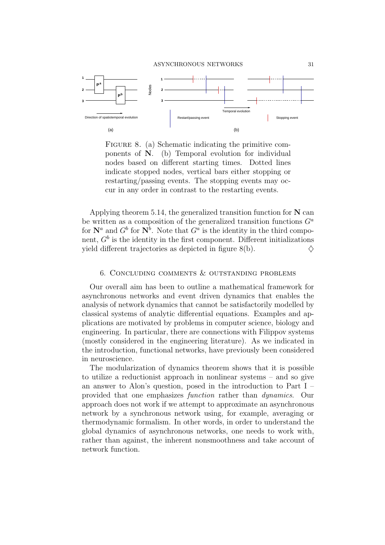ASYNCHRONOUS NETWORKS 31



FIGURE 8. (a) Schematic indicating the primitive components of N. (b) Temporal evolution for individual nodes based on different starting times. Dotted lines indicate stopped nodes, vertical bars either stopping or restarting/passing events. The stopping events may occur in any order in contrast to the restarting events.

Applying theorem 5.14, the generalized transition function for  $N$  can be written as a composition of the generalized transition functions  $G^a$ for  $\mathbf{N}^a$  and  $G^b$  for  $\mathbf{N}^b$ . Note that  $G^a$  is the identity in the third component,  $G^b$  is the identity in the first component. Different initializations yield different trajectories as depicted in figure 8(b).  $\diamondsuit$ 

### 6. Concluding comments & outstanding problems

Our overall aim has been to outline a mathematical framework for asynchronous networks and event driven dynamics that enables the analysis of network dynamics that cannot be satisfactorily modelled by classical systems of analytic differential equations. Examples and applications are motivated by problems in computer science, biology and engineering. In particular, there are connections with Filippov systems (mostly considered in the engineering literature). As we indicated in the introduction, functional networks, have previously been considered in neuroscience.

The modularization of dynamics theorem shows that it is possible to utilize a reductionist approach in nonlinear systems – and so give an answer to Alon's question, posed in the introduction to Part I – provided that one emphasizes function rather than dynamics. Our approach does not work if we attempt to approximate an asynchronous network by a synchronous network using, for example, averaging or thermodynamic formalism. In other words, in order to understand the global dynamics of asynchronous networks, one needs to work with, rather than against, the inherent nonsmoothness and take account of network function.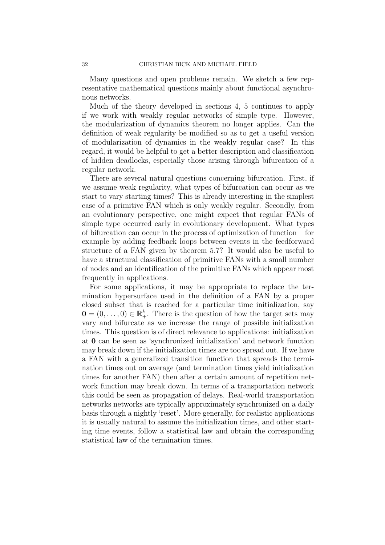Many questions and open problems remain. We sketch a few representative mathematical questions mainly about functional asynchronous networks.

Much of the theory developed in sections 4, 5 continues to apply if we work with weakly regular networks of simple type. However, the modularization of dynamics theorem no longer applies. Can the definition of weak regularity be modified so as to get a useful version of modularization of dynamics in the weakly regular case? In this regard, it would be helpful to get a better description and classification of hidden deadlocks, especially those arising through bifurcation of a regular network.

There are several natural questions concerning bifurcation. First, if we assume weak regularity, what types of bifurcation can occur as we start to vary starting times? This is already interesting in the simplest case of a primitive FAN which is only weakly regular. Secondly, from an evolutionary perspective, one might expect that regular FANs of simple type occurred early in evolutionary development. What types of bifurcation can occur in the process of optimization of function – for example by adding feedback loops between events in the feedforward structure of a FAN given by theorem 5.7? It would also be useful to have a structural classification of primitive FANs with a small number of nodes and an identification of the primitive FANs which appear most frequently in applications.

For some applications, it may be appropriate to replace the termination hypersurface used in the definition of a FAN by a proper closed subset that is reached for a particular time initialization, say  $\mathbf{0} = (0, \ldots, 0) \in \mathbb{R}_{+}^{k}$ . There is the question of how the target sets may vary and bifurcate as we increase the range of possible initialization times. This question is of direct relevance to applications: initialization at 0 can be seen as 'synchronized initialization' and network function may break down if the initialization times are too spread out. If we have a FAN with a generalized transition function that spreads the termination times out on average (and termination times yield initialization times for another FAN) then after a certain amount of repetition network function may break down. In terms of a transportation network this could be seen as propagation of delays. Real-world transportation networks networks are typically approximately synchronized on a daily basis through a nightly 'reset'. More generally, for realistic applications it is usually natural to assume the initialization times, and other starting time events, follow a statistical law and obtain the corresponding statistical law of the termination times.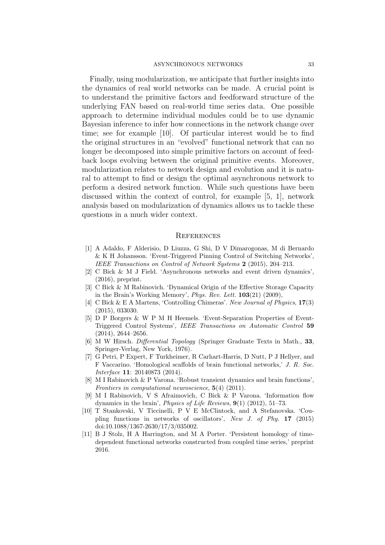Finally, using modularization, we anticipate that further insights into the dynamics of real world networks can be made. A crucial point is to understand the primitive factors and feedforward structure of the underlying FAN based on real-world time series data. One possible approach to determine individual modules could be to use dynamic Bayesian inference to infer how connections in the network change over time; see for example [10]. Of particular interest would be to find the original structures in an "evolved" functional network that can no longer be decomposed into simple primitive factors on account of feedback loops evolving between the original primitive events. Moreover, modularization relates to network design and evolution and it is natural to attempt to find or design the optimal asynchronous network to perform a desired network function. While such questions have been discussed within the context of control, for example [5, 1], network analysis based on modularization of dynamics allows us to tackle these questions in a much wider context.

#### **REFERENCES**

- [1] A Adaldo, F Alderisio, D Liuzza, G Shi, D V Dimarogonas, M di Bernardo & K H Johansson. 'Event-Triggered Pinning Control of Switching Networks', IEEE Transactions on Control of Network Systems 2 (2015), 204–213.
- [2] C Bick & M J Field. 'Asynchronous networks and event driven dynamics', (2016), preprint.
- [3] C Bick & M Rabinovich. 'Dynamical Origin of the Effective Storage Capacity in the Brain's Working Memory', Phys. Rev. Lett. 103(21) (2009),
- [4] C Bick & E A Martens, 'Controlling Chimeras'. New Journal of Physics, 17(3) (2015), 033030.
- [5] D P Borgers & W P M H Heemels. 'Event-Separation Properties of Event-Triggered Control Systems', IEEE Transactions on Automatic Control 59  $(2014), 2644 - 2656.$
- [6] M W Hirsch. Differential Topology (Springer Graduate Texts in Math., 33, Springer-Verlag, New York, 1976).
- [7] G Petri, P Expert, F Turkheimer, R Carhart-Harris, D Nutt, P J Hellyer, and F Vaccarino. 'Homological scaffolds of brain functional networks,' J. R. Soc. Interface 11: 20140873 (2014).
- [8] M I Rabinovich & P Varona. 'Robust transient dynamics and brain functions', Frontiers in computational neuroscience, 5(4) (2011).
- [9] M I Rabinovich, V S Afraimovich, C Bick & P Varona. 'Information flow dynamics in the brain', *Physics of Life Reviews*,  $9(1)$  (2012), 51–73.
- [10] T Stankovski, V Ticcinelli, P V E McClintock, and A Stefanovska. 'Coupling functions in networks of oscillators', New J. of Phy. 17 (2015) doi:10.1088/1367-2630/17/3/035002.
- [11] B J Stolz, H A Harrington, and M A Porter. 'Persistent homology of timedependent functional networks constructed from coupled time series,' preprint 2016.